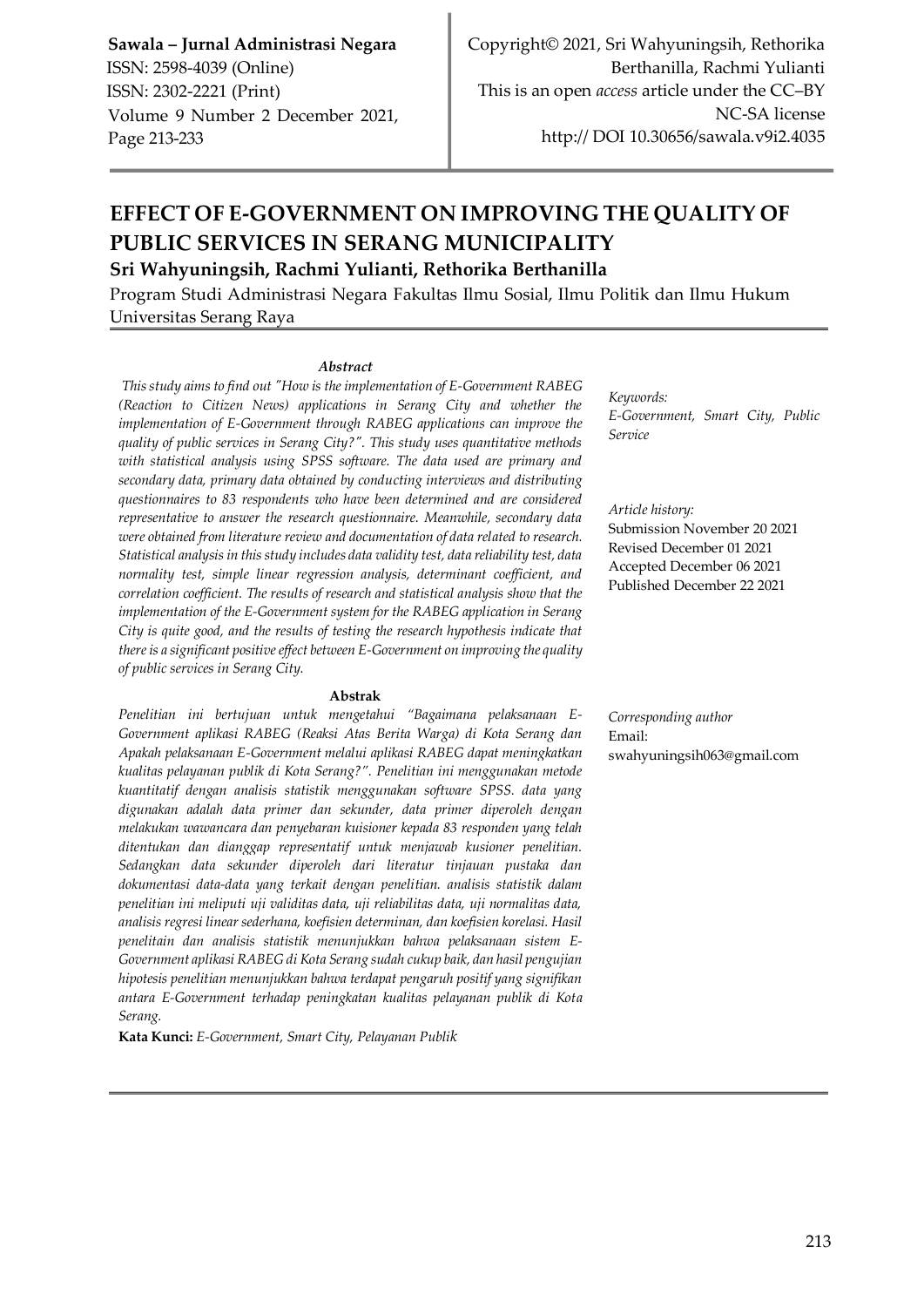# **EFFECT OF E-GOVERNMENT ON IMPROVING THE QUALITY OF PUBLIC SERVICES IN SERANG MUNICIPALITY Sri Wahyuningsih, Rachmi Yulianti, Rethorika Berthanilla**

Program Studi Administrasi Negara Fakultas Ilmu Sosial, Ilmu Politik dan Ilmu Hukum Universitas Serang Raya

#### *Abstract*

*This study aims to find out "How is the implementation of E-Government RABEG (Reaction to Citizen News) applications in Serang City and whether the implementation of E-Government through RABEG applications can improve the quality of public services in Serang City?". This study uses quantitative methods with statistical analysis using SPSS software. The data used are primary and secondary data, primary data obtained by conducting interviews and distributing questionnaires to 83 respondents who have been determined and are considered representative to answer the research questionnaire. Meanwhile, secondary data were obtained from literature review and documentation of data related to research. Statistical analysis in this study includes data validity test, data reliability test, data normality test, simple linear regression analysis, determinant coefficient, and correlation coefficient. The results of research and statistical analysis show that the implementation of the E-Government system for the RABEG application in Serang City is quite good, and the results of testing the research hypothesis indicate that there is a significant positive effect between E-Government on improving the quality of public services in Serang City.*

#### **Abstrak**

*Penelitian ini bertujuan untuk mengetahui "Bagaimana pelaksanaan E-Government aplikasi RABEG (Reaksi Atas Berita Warga) di Kota Serang dan Apakah pelaksanaan E-Government melalui aplikasi RABEG dapat meningkatkan kualitas pelayanan publik di Kota Serang?". Penelitian ini menggunakan metode kuantitatif dengan analisis statistik menggunakan software SPSS. data yang digunakan adalah data primer dan sekunder, data primer diperoleh dengan melakukan wawancara dan penyebaran kuisioner kepada 83 responden yang telah ditentukan dan dianggap representatif untuk menjawab kusioner penelitian. Sedangkan data sekunder diperoleh dari literatur tinjauan pustaka dan dokumentasi data-data yang terkait dengan penelitian. analisis statistik dalam penelitian ini meliputi uji validitas data, uji reliabilitas data, uji normalitas data, analisis regresi linear sederhana, koefisien determinan, dan koefisien korelasi. Hasil penelitain dan analisis statistik menunjukkan bahwa pelaksanaan sistem E-Government aplikasi RABEG di Kota Serang sudah cukup baik, dan hasil pengujian hipotesis penelitian menunjukkan bahwa terdapat pengaruh positif yang signifikan antara E-Government terhadap peningkatan kualitas pelayanan publik di Kota Serang.*

**Kata Kunci:** *E-Government, Smart City, Pelayanan Publik*

*Keywords: E-Government, Smart City, Public Service*

#### *Article history:*

Submission November 20 2021 Revised December 01 2021 Accepted December 06 2021 Published December 22 2021

*Corresponding author*  Email: swahyuningsih063@gmail.com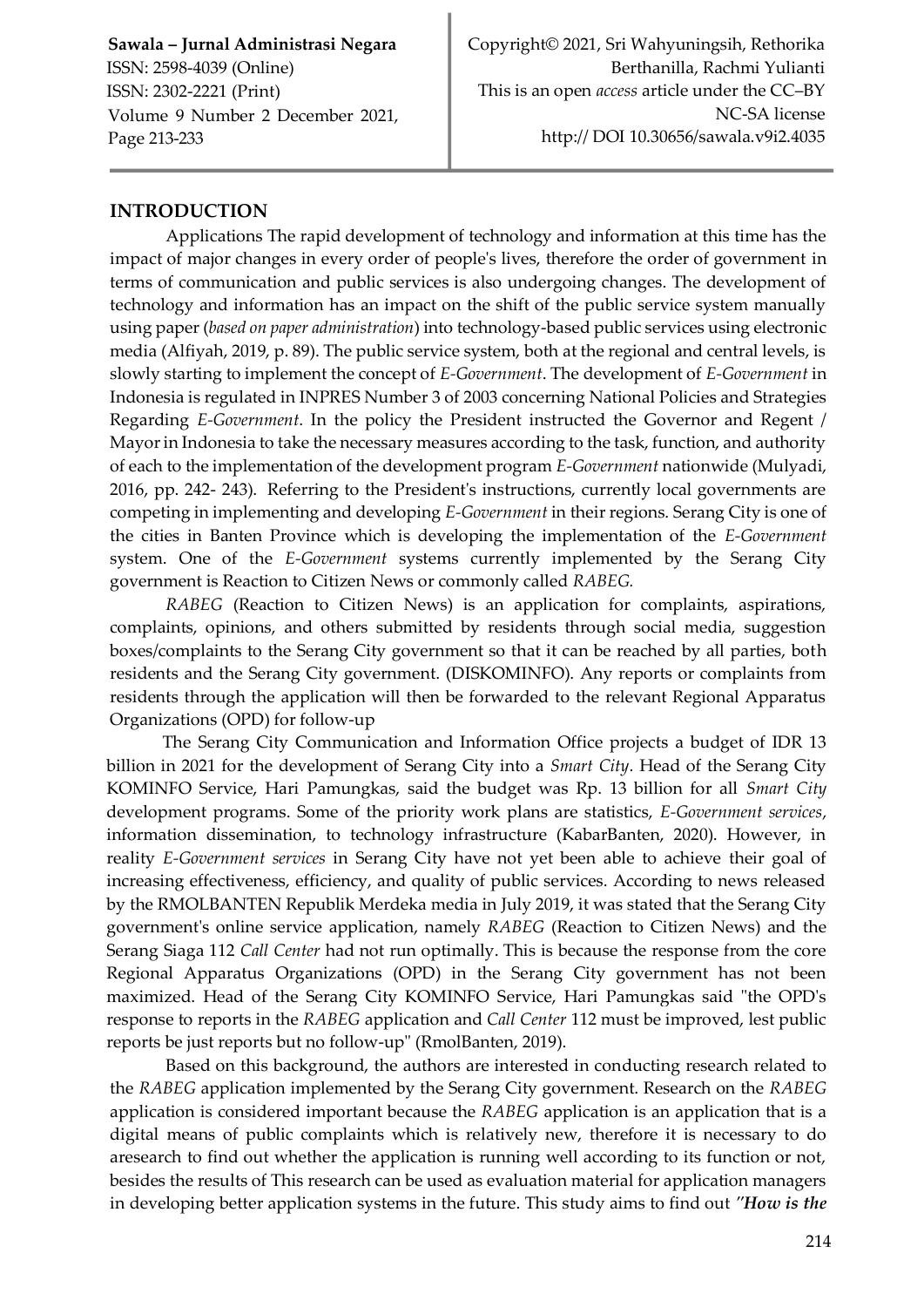## **INTRODUCTION**

Applications The rapid development of technology and information at this time has the impact of major changes in every order of people's lives, therefore the order of government in terms of communication and public services is also undergoing changes. The development of technology and information has an impact on the shift of the public service system manually using paper (*based on paper administration*) into technology-based public services using electronic media (Alfiyah, 2019, p. 89). The public service system, both at the regional and central levels, is slowly starting to implement the concept of *E-Government*. The development of *E-Government* in Indonesia is regulated in INPRES Number 3 of 2003 concerning National Policies and Strategies Regarding *E-Government*. In the policy the President instructed the Governor and Regent / Mayor in Indonesia to take the necessary measures according to the task, function, and authority of each to the implementation of the development program *E-Government* nationwide (Mulyadi, 2016, pp. 242- 243). Referring to the President's instructions, currently local governments are competing in implementing and developing *E-Government* in their regions. Serang City is one of the cities in Banten Province which is developing the implementation of the *E-Government*  system. One of the *E-Government* systems currently implemented by the Serang City government is Reaction to Citizen News or commonly called *RABEG.*

*RABEG* (Reaction to Citizen News) is an application for complaints, aspirations, complaints, opinions, and others submitted by residents through social media, suggestion boxes/complaints to the Serang City government so that it can be reached by all parties, both residents and the Serang City government. (DISKOMINFO). Any reports or complaints from residents through the application will then be forwarded to the relevant Regional Apparatus Organizations (OPD) for follow-up

The Serang City Communication and Information Office projects a budget of IDR 13 billion in 2021 for the development of Serang City into a *Smart City*. Head of the Serang City KOMINFO Service, Hari Pamungkas, said the budget was Rp. 13 billion for all *Smart City*  development programs. Some of the priority work plans are statistics, *E-Government services*, information dissemination, to technology infrastructure (KabarBanten, 2020). However, in reality *E-Government services* in Serang City have not yet been able to achieve their goal of increasing effectiveness, efficiency, and quality of public services. According to news released by the RMOLBANTEN Republik Merdeka media in July 2019, it was stated that the Serang City government's online service application, namely *RABEG* (Reaction to Citizen News) and the Serang Siaga 112 *Call Center* had not run optimally. This is because the response from the core Regional Apparatus Organizations (OPD) in the Serang City government has not been maximized. Head of the Serang City KOMINFO Service, Hari Pamungkas said "the OPD's response to reports in the *RABEG* application and *Call Center* 112 must be improved, lest public reports be just reports but no follow-up" (RmolBanten, 2019).

Based on this background, the authors are interested in conducting research related to the *RABEG* application implemented by the Serang City government. Research on the *RABEG*  application is considered important because the *RABEG* application is an application that is a digital means of public complaints which is relatively new, therefore it is necessary to do aresearch to find out whether the application is running well according to its function or not, besides the results of This research can be used as evaluation material for application managers in developing better application systems in the future. This study aims to find out *"How is the*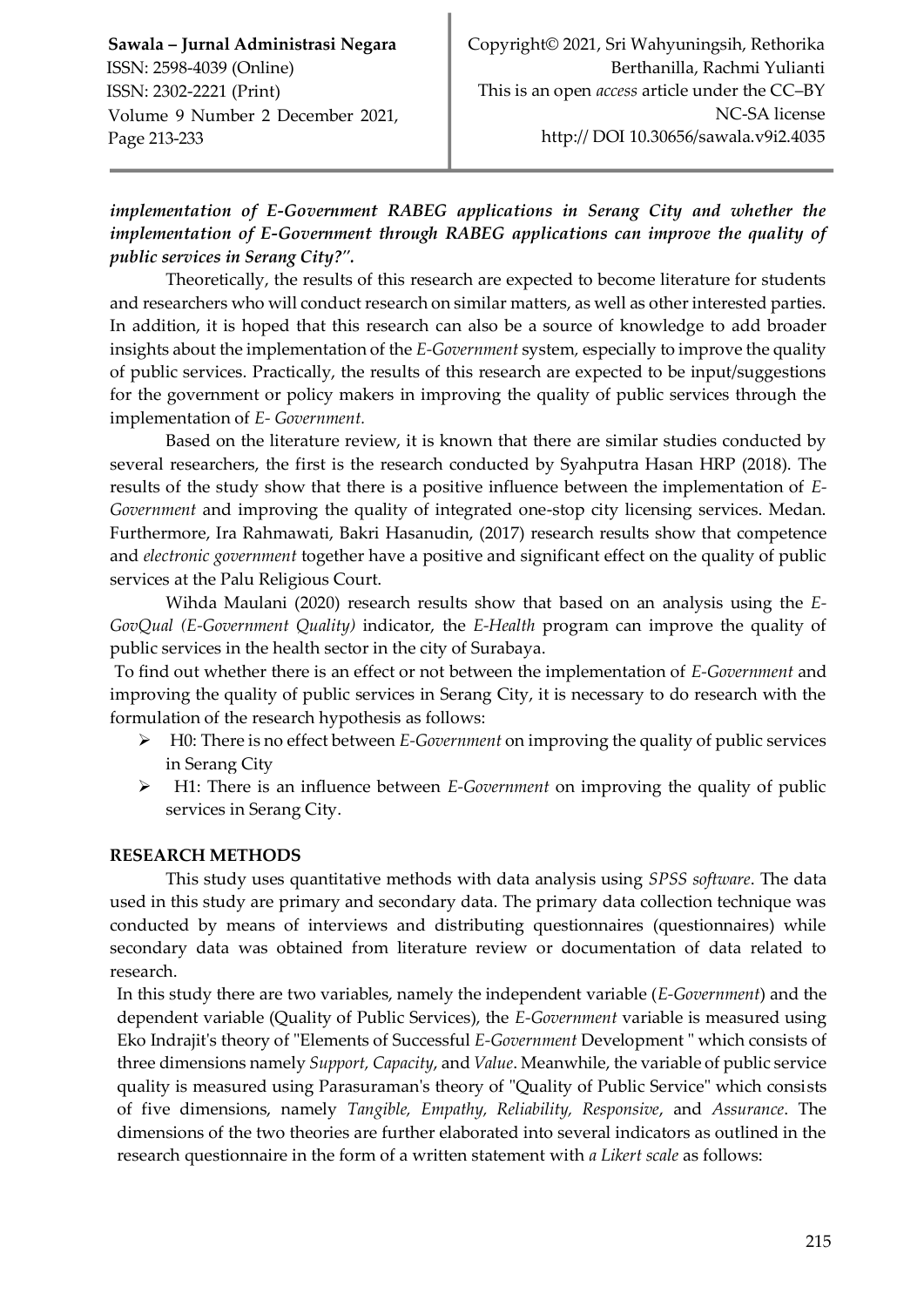## *implementation of E-Government RABEG applications in Serang City and whether the implementation of E-Government through RABEG applications can improve the quality of public services in Serang City?".*

Theoretically, the results of this research are expected to become literature for students and researchers who will conduct research on similar matters, as well as other interested parties. In addition, it is hoped that this research can also be a source of knowledge to add broader insights about the implementation of the *E-Government* system*,* especially to improve the quality of public services. Practically, the results of this research are expected to be input/suggestions for the government or policy makers in improving the quality of public services through the implementation of *E- Government.*

Based on the literature review, it is known that there are similar studies conducted by several researchers, the first is the research conducted by Syahputra Hasan HRP (2018). The results of the study show that there is a positive influence between the implementation of *E-Government* and improving the quality of integrated one-stop city licensing services. Medan. Furthermore, Ira Rahmawati, Bakri Hasanudin, (2017) research results show that competence and *electronic government* together have a positive and significant effect on the quality of public services at the Palu Religious Court.

Wihda Maulani (2020) research results show that based on an analysis using the *E-GovQual (E-Government Quality)* indicator, the *E-Health* program can improve the quality of public services in the health sector in the city of Surabaya.

To find out whether there is an effect or not between the implementation of *E-Government* and improving the quality of public services in Serang City, it is necessary to do research with the formulation of the research hypothesis as follows:

- H0: There is no effect between *E-Government* on improving the quality of public services in Serang City
- H1: There is an influence between *E-Government* on improving the quality of public services in Serang City.

#### **RESEARCH METHODS**

This study uses quantitative methods with data analysis using *SPSS software*. The data used in this study are primary and secondary data. The primary data collection technique was conducted by means of interviews and distributing questionnaires (questionnaires) while secondary data was obtained from literature review or documentation of data related to research.

In this study there are two variables, namely the independent variable (*E-Government*) and the dependent variable (Quality of Public Services), the *E-Government* variable is measured using Eko Indrajit's theory of "Elements of Successful *E-Government* Development " which consists of three dimensions namely *Support, Capacity*, and *Value*. Meanwhile, the variable of public service quality is measured using Parasuraman's theory of "Quality of Public Service" which consists of five dimensions, namely *Tangible, Empathy, Reliability, Responsive*, and *Assurance*. The dimensions of the two theories are further elaborated into several indicators as outlined in the research questionnaire in the form of a written statement with *a Likert scale* as follows: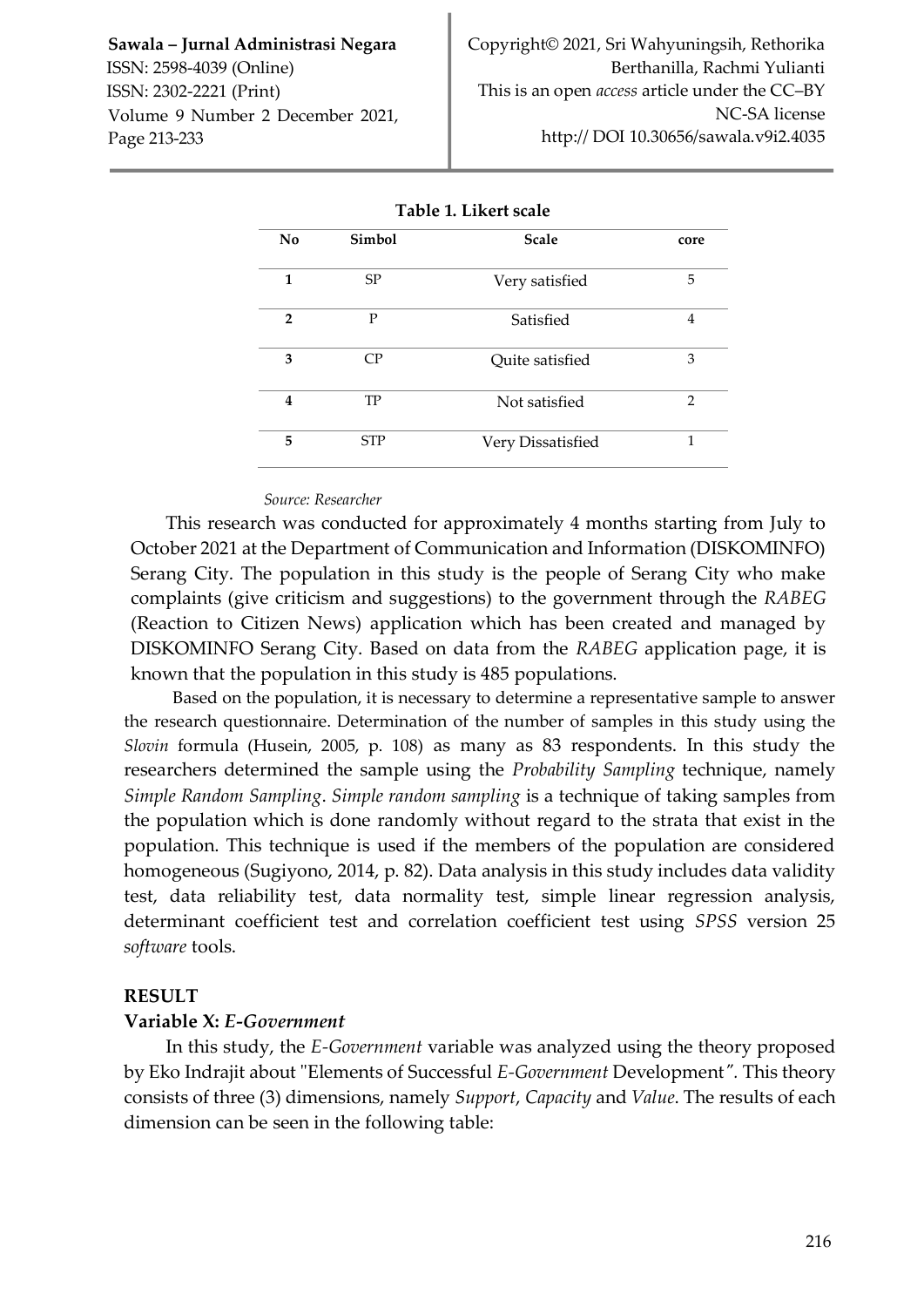| No             | Simbol     | <b>Scale</b>      | core           |  |  |
|----------------|------------|-------------------|----------------|--|--|
| 1              | SP         | Very satisfied    | 5              |  |  |
| $\overline{2}$ | P          | Satisfied         | 4              |  |  |
| 3              | CP         | Quite satisfied   | 3              |  |  |
| 4              | TP         | Not satisfied     | $\overline{2}$ |  |  |
| 5              | <b>STP</b> | Very Dissatisfied | 1              |  |  |

#### *Source: Researcher*

This research was conducted for approximately 4 months starting from July to October 2021 at the Department of Communication and Information (DISKOMINFO) Serang City. The population in this study is the people of Serang City who make complaints (give criticism and suggestions) to the government through the *RABEG*  (Reaction to Citizen News) application which has been created and managed by DISKOMINFO Serang City. Based on data from the *RABEG* application page, it is known that the population in this study is 485 populations.

Based on the population, it is necessary to determine a representative sample to answer the research questionnaire. Determination of the number of samples in this study using the *Slovin* formula (Husein, 2005, p. 108) as many as 83 respondents. In this study the researchers determined the sample using the *Probability Sampling* technique, namely *Simple Random Sampling*. *Simple random sampling* is a technique of taking samples from the population which is done randomly without regard to the strata that exist in the population. This technique is used if the members of the population are considered homogeneous (Sugiyono, 2014, p. 82). Data analysis in this study includes data validity test, data reliability test, data normality test, simple linear regression analysis, determinant coefficient test and correlation coefficient test using *SPSS* version 25 *software* tools.

#### **RESULT**

#### **Variable X:** *E-Government*

In this study, the *E-Government* variable was analyzed using the theory proposed by Eko Indrajit about "Elements of Successful *E-Government* Development*".* This theory consists of three (3) dimensions, namely *Support*, *Capacity* and *Value*. The results of each dimension can be seen in the following table: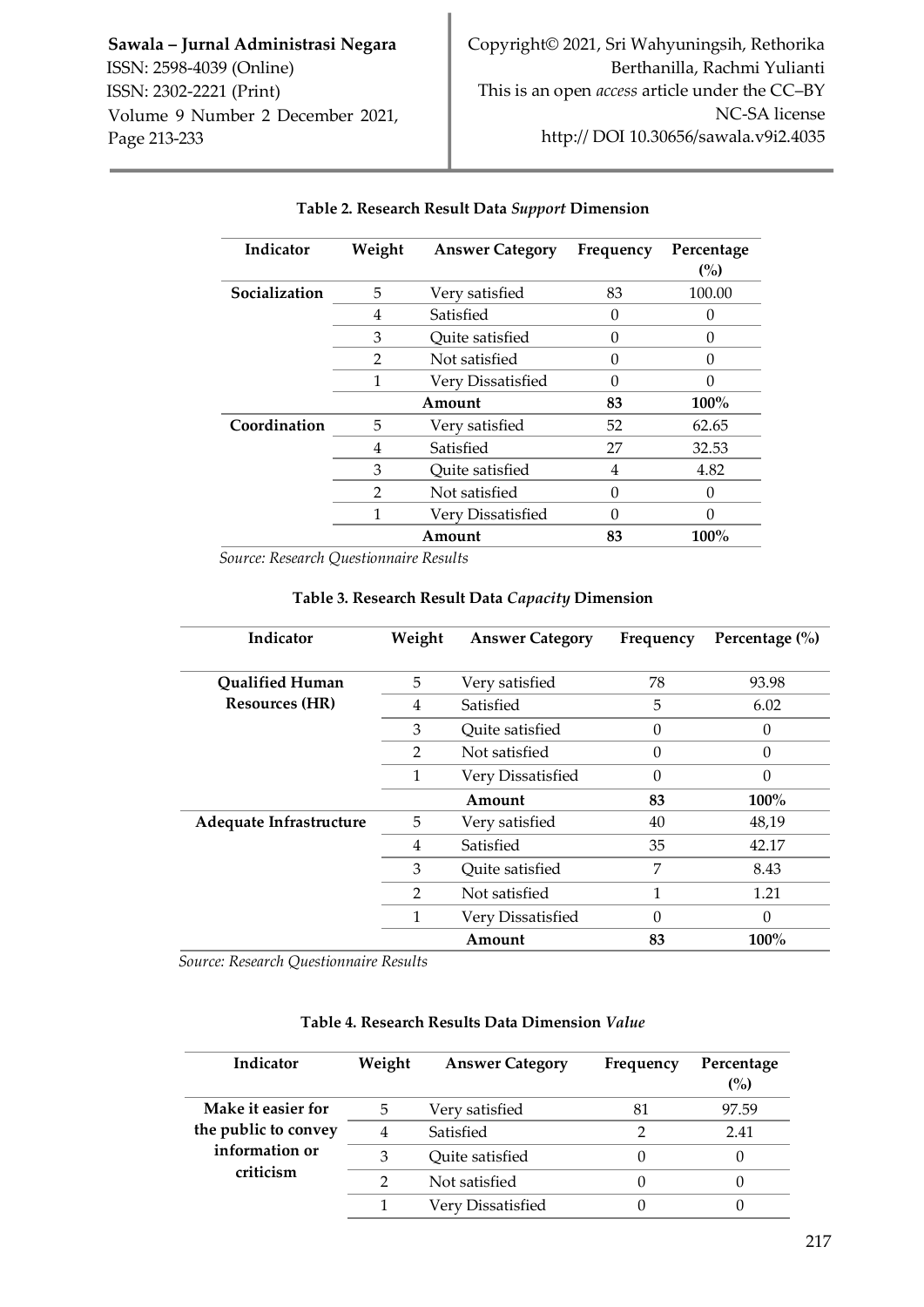| Indicator     | Weight | <b>Answer Category</b> | Frequency | Percentage<br>(%) |
|---------------|--------|------------------------|-----------|-------------------|
| Socialization | 5      | Very satisfied         | 83        | 100.00            |
|               | 4      | Satisfied              | 0         |                   |
|               | 3      | Quite satisfied        | 0         |                   |
|               | 2      | Not satisfied          | O         | 0                 |
|               |        | Very Dissatisfied      | O         |                   |
|               |        | Amount                 | 83        | $100\%$           |
| Coordination  | 5      | Very satisfied         | 52        | 62.65             |
|               | 4      | Satisfied              | 27        | 32.53             |
|               | 3      | Quite satisfied        | 4         | 4.82              |
|               | 2      | Not satisfied          | 0         |                   |
|               | 1      | Very Dissatisfied      | O         |                   |
|               |        | Amount                 | 83        | $100\%$           |

#### **Table 2. Research Result Data** *Support* **Dimension**

*Source: Research Questionnaire Results*

| Indicator               | Weight | <b>Answer Category</b> | Frequency | Percentage $(\% )$ |
|-------------------------|--------|------------------------|-----------|--------------------|
| <b>Qualified Human</b>  | 5      | Very satisfied         | 78        | 93.98              |
| <b>Resources (HR)</b>   | 4      | Satisfied              | 5         | 6.02               |
|                         | 3      | Quite satisfied        |           |                    |
|                         | 2      | Not satisfied          | $\Omega$  | 0                  |
|                         | 1      | Very Dissatisfied      | $\Omega$  | 0                  |
|                         |        | Amount                 | 83        | $100\%$            |
| Adequate Infrastructure | 5      | Very satisfied         | 40        | 48,19              |
|                         | 4      | Satisfied              | 35        | 42.17              |
|                         | 3      | Quite satisfied        | 7         | 8.43               |
|                         | 2      | Not satisfied          | 1         | 1.21               |
|                         |        | Very Dissatisfied      | $\Omega$  |                    |
|                         |        | Amount                 | 83        | $100\%$            |

#### **Table 3. Research Result Data** *Capacity* **Dimension**

*Source: Research Questionnaire Results*

| Indicator                   | Weight | <b>Answer Category</b> | Frequency | Percentage<br>(%) |
|-----------------------------|--------|------------------------|-----------|-------------------|
| Make it easier for          | 5      | Very satisfied         | 81        | 97.59             |
| the public to convey        | 4      | Satisfied              |           | 2.41              |
| information or<br>criticism | З      | Quite satisfied        |           |                   |
|                             | っ      | Not satisfied          |           |                   |
|                             |        | Very Dissatisfied      |           |                   |

### **Table 4. Research Results Data Dimension** *Value*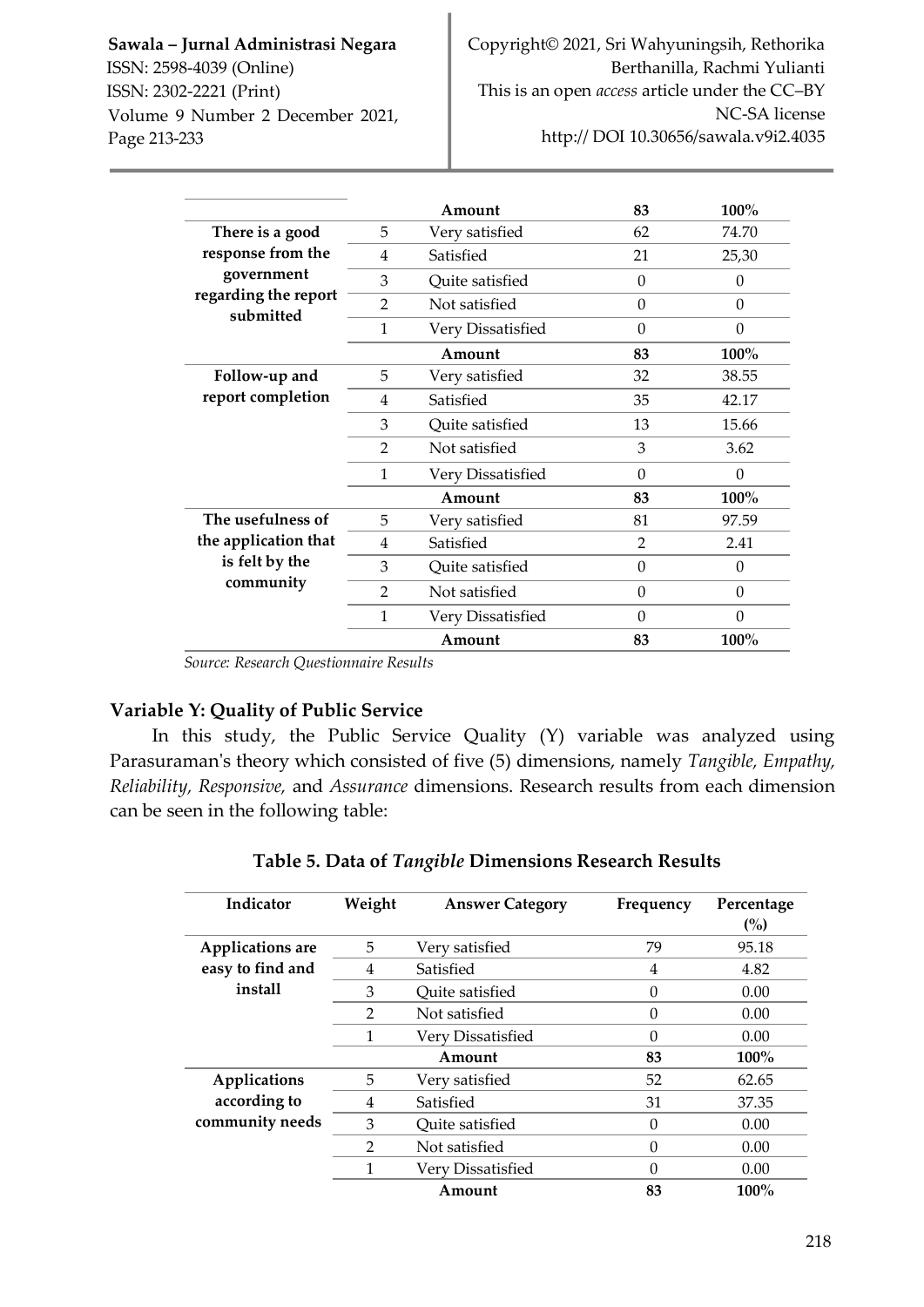|                      |                | Amount            | 83            | $100\%$  |
|----------------------|----------------|-------------------|---------------|----------|
| There is a good      | 5              | Very satisfied    | 62            | 74.70    |
| response from the    | 4              | Satisfied         | 21            | 25,30    |
| government           | 3              | Quite satisfied   | $\theta$      | 0        |
| regarding the report | $\overline{2}$ | Not satisfied     | $\theta$      | $\theta$ |
| submitted            | 1              | Very Dissatisfied | $\theta$      | $\theta$ |
|                      |                | Amount            | 83            | 100%     |
| Follow-up and        | 5              | Very satisfied    | 32            | 38.55    |
| report completion    | 4              | Satisfied         | 35            | 42.17    |
|                      | 3              | Quite satisfied   | 13            | 15.66    |
|                      | $\mathcal{P}$  | Not satisfied     | 3             | 3.62     |
|                      | $\mathbf{1}$   | Very Dissatisfied | 0             | 0        |
|                      |                | Amount            | 83            | 100%     |
| The usefulness of    | 5              | Very satisfied    | 81            | 97.59    |
| the application that | 4              | Satisfied         | $\mathcal{P}$ | 2.41     |
| is felt by the       | 3              | Quite satisfied   | $\Omega$      | $\Omega$ |
| community            | 2              | Not satisfied     | $\Omega$      | $\Omega$ |
|                      | 1              | Very Dissatisfied | $\Omega$      | $\Omega$ |
|                      |                | Amount            | 83            | 100%     |

*Source: Research Questionnaire Results*

## **Variable Y: Quality of Public Service**

In this study, the Public Service Quality (Y) variable was analyzed using Parasuraman's theory which consisted of five (5) dimensions, namely *Tangible, Empathy, Reliability, Responsive,* and *Assurance* dimensions. Research results from each dimension can be seen in the following table:

| Indicator               | Weight         | <b>Answer Category</b> | Frequency | Percentage<br>(%) |
|-------------------------|----------------|------------------------|-----------|-------------------|
| <b>Applications</b> are | 5              | Very satisfied         | 79        | 95.18             |
| easy to find and        | 4              | Satisfied              | 4         | 4.82              |
| install                 | 3              | Ouite satisfied        | 0         | 0.00              |
|                         | 2              | Not satisfied          | $\theta$  | 0.00              |
|                         |                | Very Dissatisfied      | 0         | 0.00              |
|                         |                | Amount                 | 83        | $100\%$           |
| Applications            | 5              | Very satisfied         | 52        | 62.65             |
| according to            | 4              | Satisfied              | 31        | 37.35             |
| community needs         | 3              | Quite satisfied        | $\theta$  | 0.00              |
|                         | $\mathfrak{D}$ | Not satisfied          | $\theta$  | 0.00              |
|                         | 1              | Very Dissatisfied      | $\Omega$  | 0.00              |
|                         |                | Amount                 | 83        | $100\%$           |

## **Table 5. Data of** *Tangible* **Dimensions Research Results**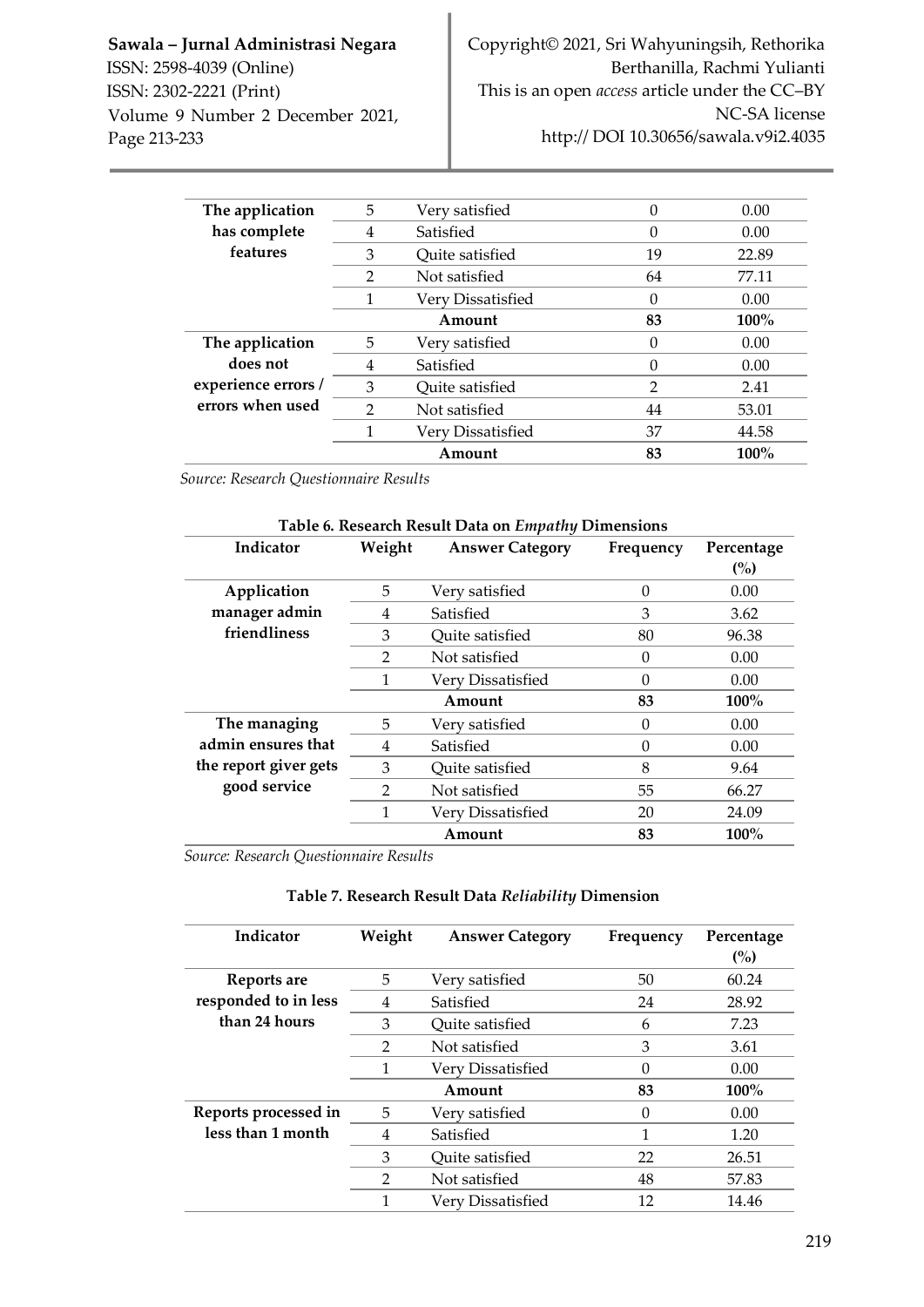| The application     | 5              | Very satisfied    |                | 0.00    |
|---------------------|----------------|-------------------|----------------|---------|
| has complete        | 4              | Satisfied         | O              | 0.00    |
| features            | 3              | Quite satisfied   | 19             | 22.89   |
|                     | $\overline{2}$ | Not satisfied     | 64             | 77.11   |
|                     |                | Very Dissatisfied | 0              | 0.00    |
|                     |                | Amount            | 83             | $100\%$ |
| The application     | 5              | Verv satisfied    | O              | 0.00    |
| does not            | 4              | Satisfied         | 0              | 0.00    |
| experience errors / | 3              | Ouite satisfied   | $\overline{2}$ | 2.41    |
| errors when used    | $\mathfrak{D}$ | Not satisfied     | 44             | 53.01   |
|                     |                | Very Dissatisfied | 37             | 44.58   |
|                     |                | Amount            | 83             | $100\%$ |

*Source: Research Questionnaire Results*

| Table 6. Research Result Data on Empathy Dimensions |                |                        |           |            |  |
|-----------------------------------------------------|----------------|------------------------|-----------|------------|--|
| Indicator                                           | Weight         | <b>Answer Category</b> | Frequency | Percentage |  |
|                                                     |                |                        |           | (%)        |  |
| Application                                         | 5              | Very satisfied         | $\Omega$  | 0.00       |  |
| manager admin                                       | 4              | Satisfied              | 3         | 3.62       |  |
| friendliness                                        | 3              | Quite satisfied        | 80        | 96.38      |  |
|                                                     | $\mathfrak{D}$ | Not satisfied          | $\Omega$  | 0.00       |  |
|                                                     |                | Very Dissatisfied      | $\Omega$  | 0.00       |  |
|                                                     |                | Amount                 | 83        | $100\%$    |  |
| The managing                                        | 5              | Very satisfied         | $\Omega$  | 0.00       |  |
| admin ensures that                                  | 4              | Satisfied              | $\Omega$  | 0.00       |  |
| the report giver gets                               | 3              | Quite satisfied        | 8         | 9.64       |  |
| good service                                        | $\mathcal{P}$  | Not satisfied          | 55        | 66.27      |  |
|                                                     | 1              | Very Dissatisfied      | 20        | 24.09      |  |
|                                                     |                | Amount                 | 83        | $100\%$    |  |

*Source: Research Questionnaire Results*

#### **Table 7. Research Result Data** *Reliability* **Dimension**

| Indicator            | Weight        | <b>Answer Category</b> | Frequency | Percentage<br>(%) |
|----------------------|---------------|------------------------|-----------|-------------------|
| Reports are          | 5.            | Very satisfied         | 50        | 60.24             |
| responded to in less | 4             | Satisfied              | 24        | 28.92             |
| than 24 hours        | 3             | Ouite satisfied        | 6         | 7.23              |
|                      | $\mathcal{P}$ | Not satisfied          | 3         | 3.61              |
|                      | 1             | Very Dissatisfied      | $\Omega$  | 0.00              |
|                      |               | Amount                 | 83        | $100\%$           |
| Reports processed in | 5             | Very satisfied         | $\theta$  | 0.00              |
| less than 1 month    | 4             | Satisfied              | 1         | 1.20              |
|                      | 3             | Quite satisfied        | 22        | 26.51             |
|                      | $\mathcal{P}$ | Not satisfied          | 48        | 57.83             |
|                      |               | Very Dissatisfied      | 12        | 14.46             |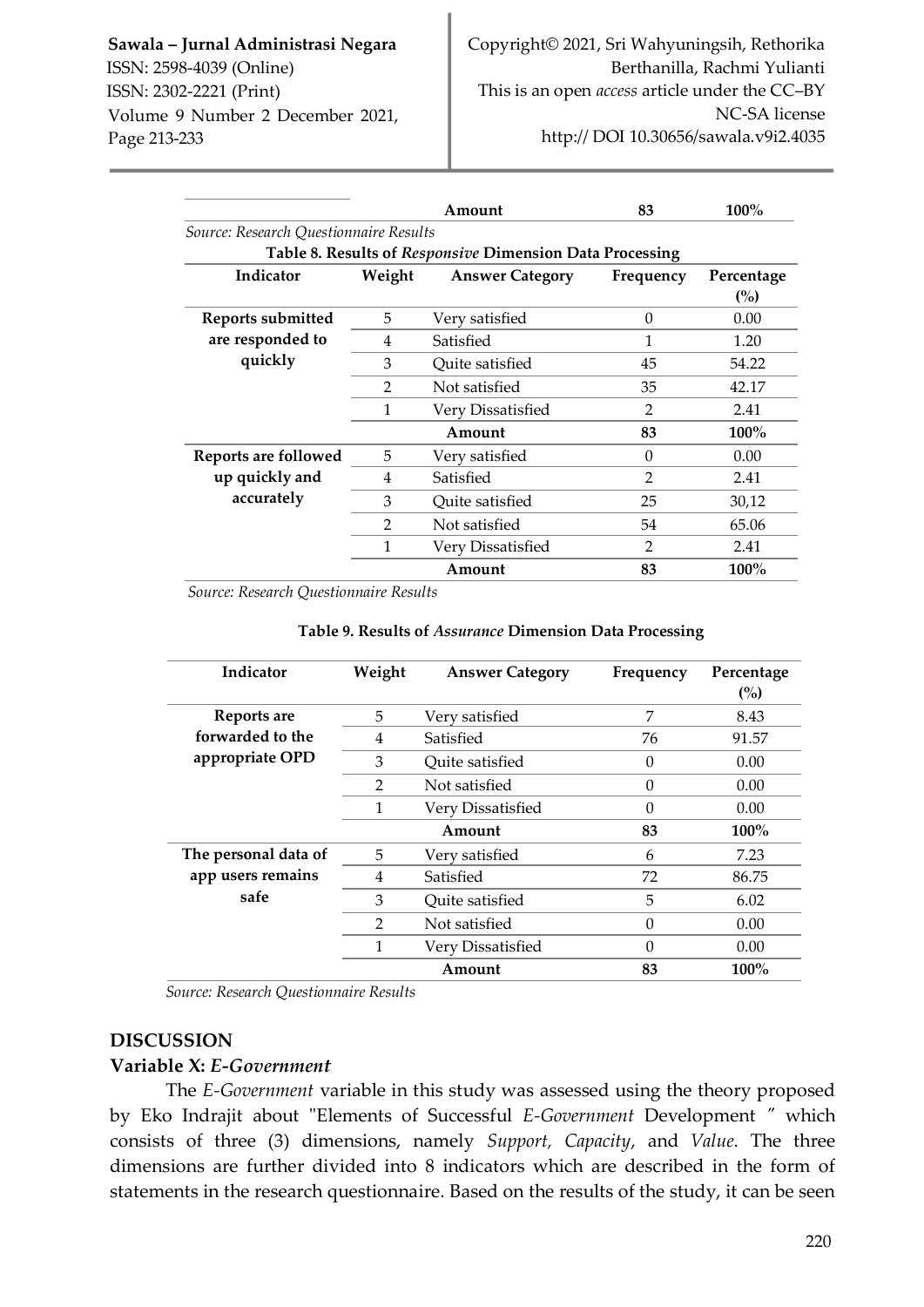|                                        |                | Amount                                                   | 83             | $100\%$                      |
|----------------------------------------|----------------|----------------------------------------------------------|----------------|------------------------------|
| Source: Research Questionnaire Results |                |                                                          |                |                              |
|                                        |                | Table 8. Results of Responsive Dimension Data Processing |                |                              |
| Indicator                              | Weight         | <b>Answer Category</b>                                   | Frequency      | Percentage<br>$\binom{0}{0}$ |
| Reports submitted                      | 5              | Very satisfied                                           | $\theta$       | 0.00                         |
| are responded to                       | 4              | Satisfied                                                | 1              | 1.20                         |
| quickly                                | 3              | Quite satisfied                                          | 45             | 54.22                        |
|                                        | 2              | Not satisfied                                            | 35             | 42.17                        |
|                                        | 1              | Very Dissatisfied                                        | 2              | 2.41                         |
|                                        |                | Amount                                                   | 83             | $100\%$                      |
| Reports are followed                   | 5              | Very satisfied                                           | $\Omega$       | 0.00                         |
| up quickly and                         | 4              | Satisfied                                                | $\mathfrak{D}$ | 2.41                         |
| accurately                             | 3              | Quite satisfied                                          | 25             | 30,12                        |
|                                        | $\overline{2}$ | Not satisfied                                            | 54             | 65.06                        |
|                                        | 1              | Very Dissatisfied                                        | $\overline{2}$ | 2.41                         |
|                                        |                | Amount                                                   | 83             | 100%                         |

*Source: Research Questionnaire Results*

| Indicator            | Weight        | <b>Answer Category</b> | Frequency | Percentage<br>(%) |
|----------------------|---------------|------------------------|-----------|-------------------|
| Reports are          | 5             | Very satisfied         | 7         | 8.43              |
| forwarded to the     | 4             | Satisfied              | 76        | 91.57             |
| appropriate OPD      | 3             | Ouite satisfied        | $\theta$  | 0.00              |
|                      | $\mathcal{P}$ | Not satisfied          | $\Omega$  | 0.00              |
|                      | 1             | Very Dissatisfied      | $\Omega$  | 0.00              |
|                      |               | Amount                 | 83        | 100%              |
| The personal data of | 5             | Very satisfied         | 6         | 7.23              |
| app users remains    | 4             | Satisfied              | 72        | 86.75             |
| safe                 | 3             | Quite satisfied        | 5         | 6.02              |
|                      | $\mathcal{P}$ | Not satisfied          | 0         | 0.00              |
|                      | 1             | Very Dissatisfied      | $\Omega$  | 0.00              |
|                      |               | Amount                 | 83        | 100%              |

#### **Table 9. Results of** *Assurance* **Dimension Data Processing**

*Source: Research Questionnaire Results*

#### **DISCUSSION**

#### **Variable X:** *E-Government*

The *E-Government* variable in this study was assessed using the theory proposed by Eko Indrajit about "Elements of Successful *E-Government* Development *"* which consists of three (3) dimensions, namely *Support, Capacity*, and *Value*. The three dimensions are further divided into 8 indicators which are described in the form of statements in the research questionnaire. Based on the results of the study, it can be seen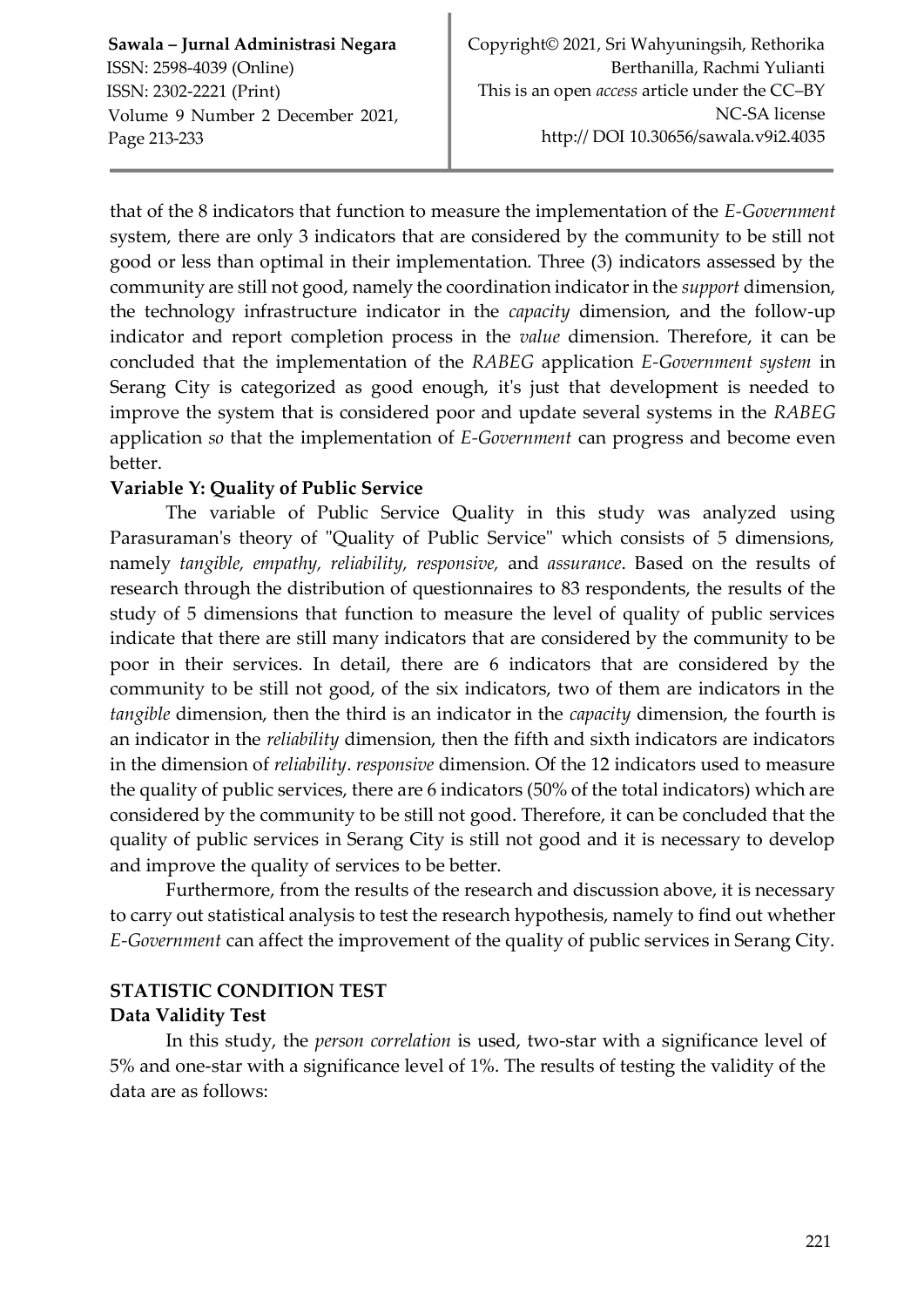that of the 8 indicators that function to measure the implementation of the *E-Government*  system*,* there are only 3 indicators that are considered by the community to be still not good or less than optimal in their implementation. Three (3) indicators assessed by the community are still not good, namely the coordination indicator in the *support* dimension, the technology infrastructure indicator in the *capacity* dimension, and the follow-up indicator and report completion process in the *value* dimension. Therefore, it can be concluded that the implementation of the *RABEG* application *E-Government system* in Serang City is categorized as good enough, it's just that development is needed to improve the system that is considered poor and update several systems in the *RABEG*  application *so* that the implementation of *E-Government* can progress and become even better.

## **Variable Y: Quality of Public Service**

The variable of Public Service Quality in this study was analyzed using Parasuraman's theory of "Quality of Public Service" which consists of 5 dimensions, namely *tangible, empathy, reliability, responsive,* and *assurance*. Based on the results of research through the distribution of questionnaires to 83 respondents, the results of the study of 5 dimensions that function to measure the level of quality of public services indicate that there are still many indicators that are considered by the community to be poor in their services. In detail, there are 6 indicators that are considered by the community to be still not good, of the six indicators, two of them are indicators in the *tangible* dimension, then the third is an indicator in the *capacity* dimension, the fourth is an indicator in the *reliability* dimension, then the fifth and sixth indicators are indicators in the dimension of *reliability*. *responsive* dimension. Of the 12 indicators used to measure the quality of public services, there are 6 indicators (50% of the total indicators) which are considered by the community to be still not good. Therefore, it can be concluded that the quality of public services in Serang City is still not good and it is necessary to develop and improve the quality of services to be better.

Furthermore, from the results of the research and discussion above, it is necessary to carry out statistical analysis to test the research hypothesis, namely to find out whether *E-Government* can affect the improvement of the quality of public services in Serang City.

# **STATISTIC CONDITION TEST Data Validity Test**

In this study, the *person correlation* is used, two-star with a significance level of 5% and one-star with a significance level of 1%. The results of testing the validity of the data are as follows: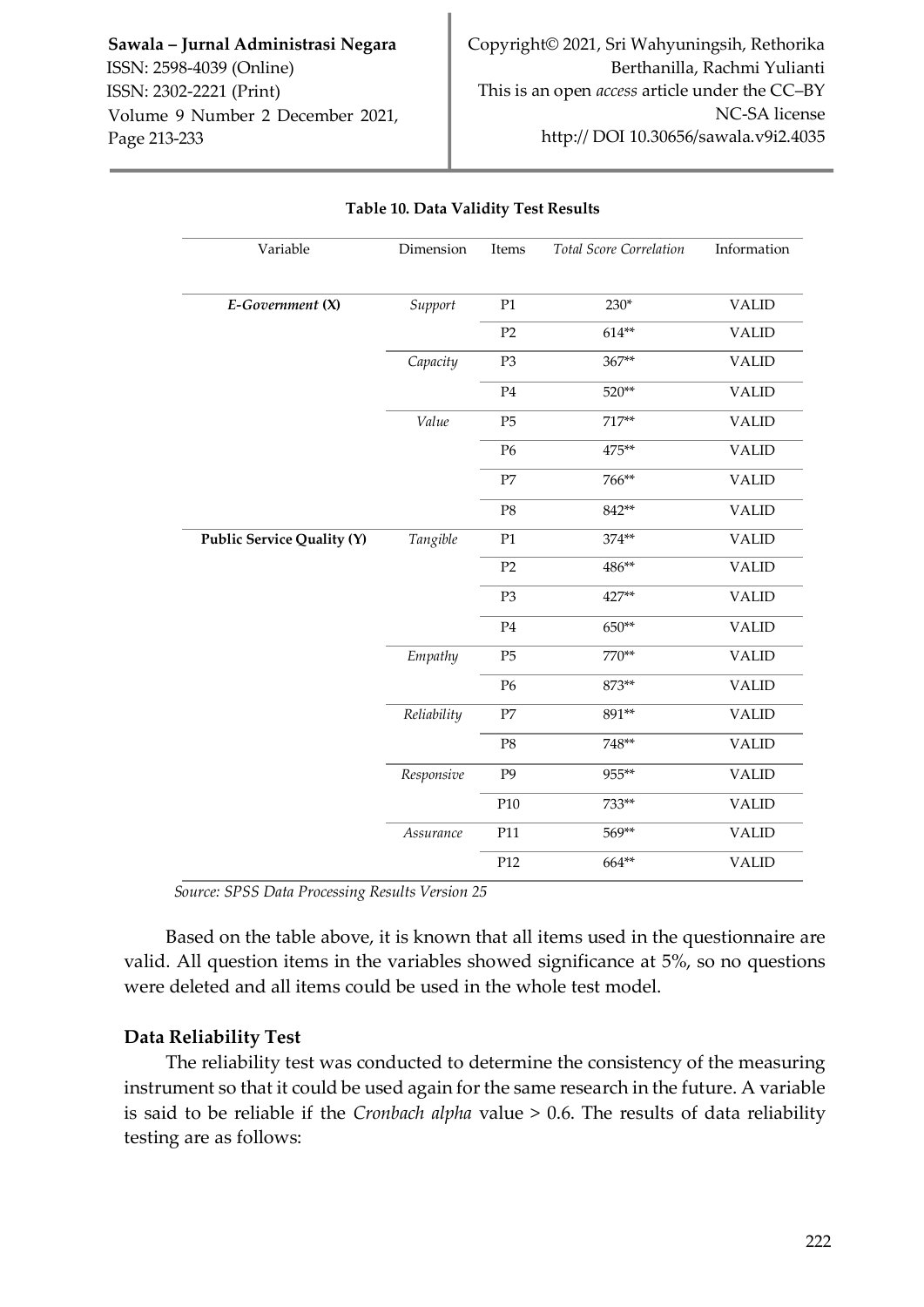| Variable                   | Dimension   | Items          | Total Score Correlation | Information  |
|----------------------------|-------------|----------------|-------------------------|--------------|
| E-Government (X)           | Support     | P1             | 230*                    | <b>VALID</b> |
|                            |             | P2             | $614**$                 | <b>VALID</b> |
|                            | Capacity    | P <sub>3</sub> | 367**                   | <b>VALID</b> |
|                            |             | $\mathbf{P4}$  | 520**                   | <b>VALID</b> |
|                            | Value       | P5             | $717**$                 | <b>VALID</b> |
|                            |             | P <sub>6</sub> | 475**                   | <b>VALID</b> |
|                            |             | $\rm P7$       | 766**                   | <b>VALID</b> |
|                            |             | $\mathbf{P8}$  | 842**                   | <b>VALID</b> |
| Public Service Quality (Y) | Tangible    | P1             | 374**                   | <b>VALID</b> |
|                            |             | P2             | 486**                   | <b>VALID</b> |
|                            |             | P <sub>3</sub> | 427**                   | <b>VALID</b> |
|                            |             | $\mathbf{P}4$  | 650**                   | <b>VALID</b> |
|                            | Empathy     | P <sub>5</sub> | 770**                   | <b>VALID</b> |
|                            |             | P <sub>6</sub> | 873**                   | <b>VALID</b> |
|                            | Reliability | $\rm P7$       | 891**                   | <b>VALID</b> |
|                            |             | $\mathbf{P8}$  | 748**                   | <b>VALID</b> |
|                            | Responsive  | P <sub>9</sub> | 955**                   | <b>VALID</b> |
|                            |             | P10            | 733**                   | <b>VALID</b> |
|                            | Assurance   | P11            | 569**                   | <b>VALID</b> |
|                            |             | P12            | 664**                   | <b>VALID</b> |

#### **Table 10. Data Validity Test Results**

*Source: SPSS Data Processing Results Version 25*

Based on the table above, it is known that all items used in the questionnaire are valid. All question items in the variables showed significance at 5%, so no questions were deleted and all items could be used in the whole test model.

## **Data Reliability Test**

The reliability test was conducted to determine the consistency of the measuring instrument so that it could be used again for the same research in the future. A variable is said to be reliable if the *Cronbach alpha* value > 0.6. The results of data reliability testing are as follows: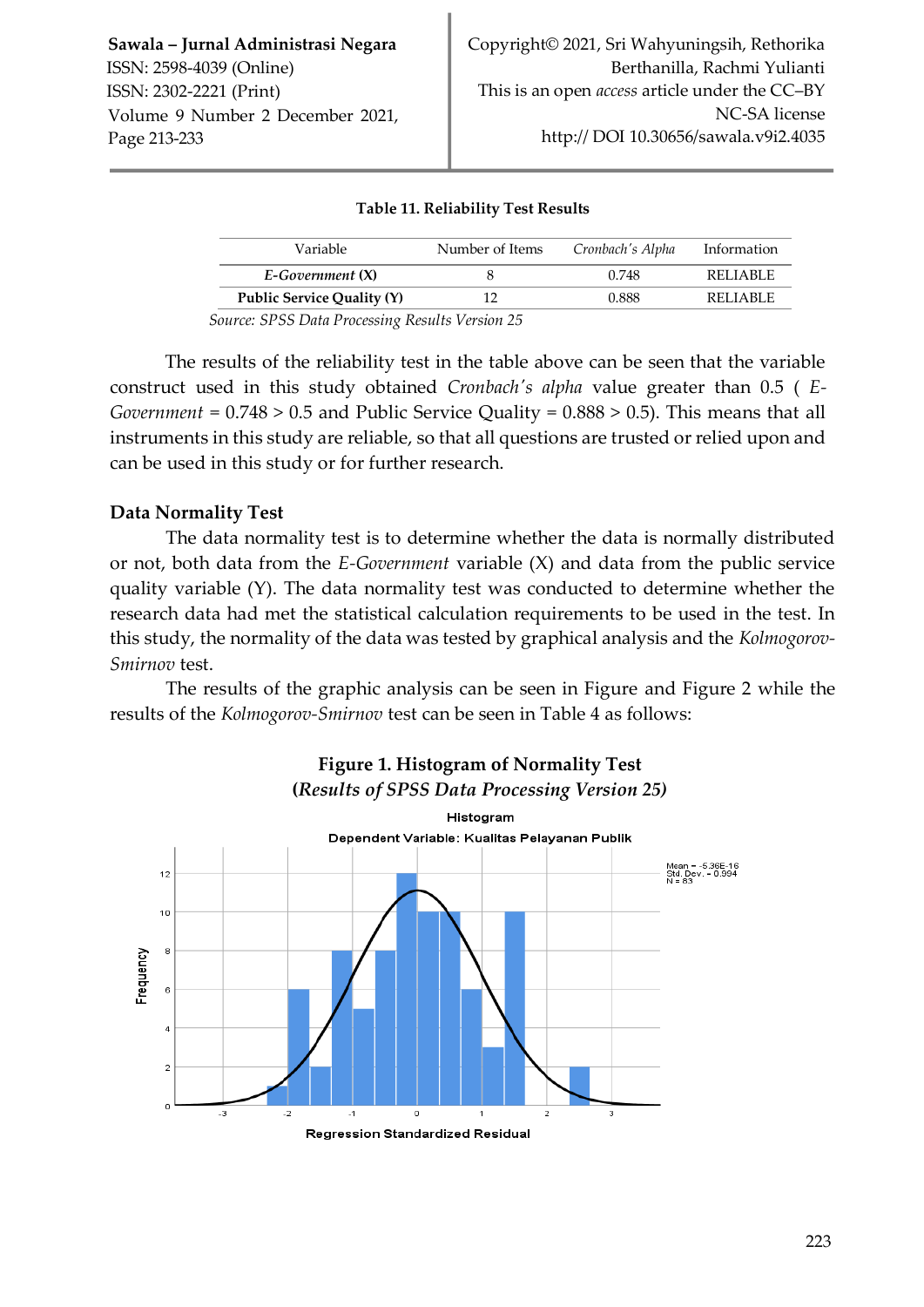## **Table 11. Reliability Test Results**

| Variable                           | Number of Items                                        | Cronbach's Alpha | Information |  |
|------------------------------------|--------------------------------------------------------|------------------|-------------|--|
| $E$ -Government $(X)$              |                                                        | 0.748            | REI JABLE   |  |
| Public Service Quality (Y)         | 10                                                     | 0.888            | REI JABLE   |  |
| $\sim$ $\sim$ $\sim$ $\sim$ $\sim$ | $\cdot$ $\sim$ $\cdot$ $\cdot$ $\cdot$ $\cdot$ $\cdot$ |                  |             |  |

*Source: SPSS Data Processing Results Version 25*

The results of the reliability test in the table above can be seen that the variable construct used in this study obtained *Cronbach's alpha* value greater than 0.5 ( *E-Government* = 0.748 > 0.5 and Public Service Quality = 0.888 > 0.5). This means that all instruments in this study are reliable, so that all questions are trusted or relied upon and can be used in this study or for further research.

## **Data Normality Test**

The data normality test is to determine whether the data is normally distributed or not, both data from the *E-Government* variable (X) and data from the public service quality variable (Y). The data normality test was conducted to determine whether the research data had met the statistical calculation requirements to be used in the test. In this study, the normality of the data was tested by graphical analysis and the *Kolmogorov-Smirnov* test.

The results of the graphic analysis can be seen in Figure and Figure 2 while the results of the *Kolmogorov-Smirnov* test can be seen in Table 4 as follows:

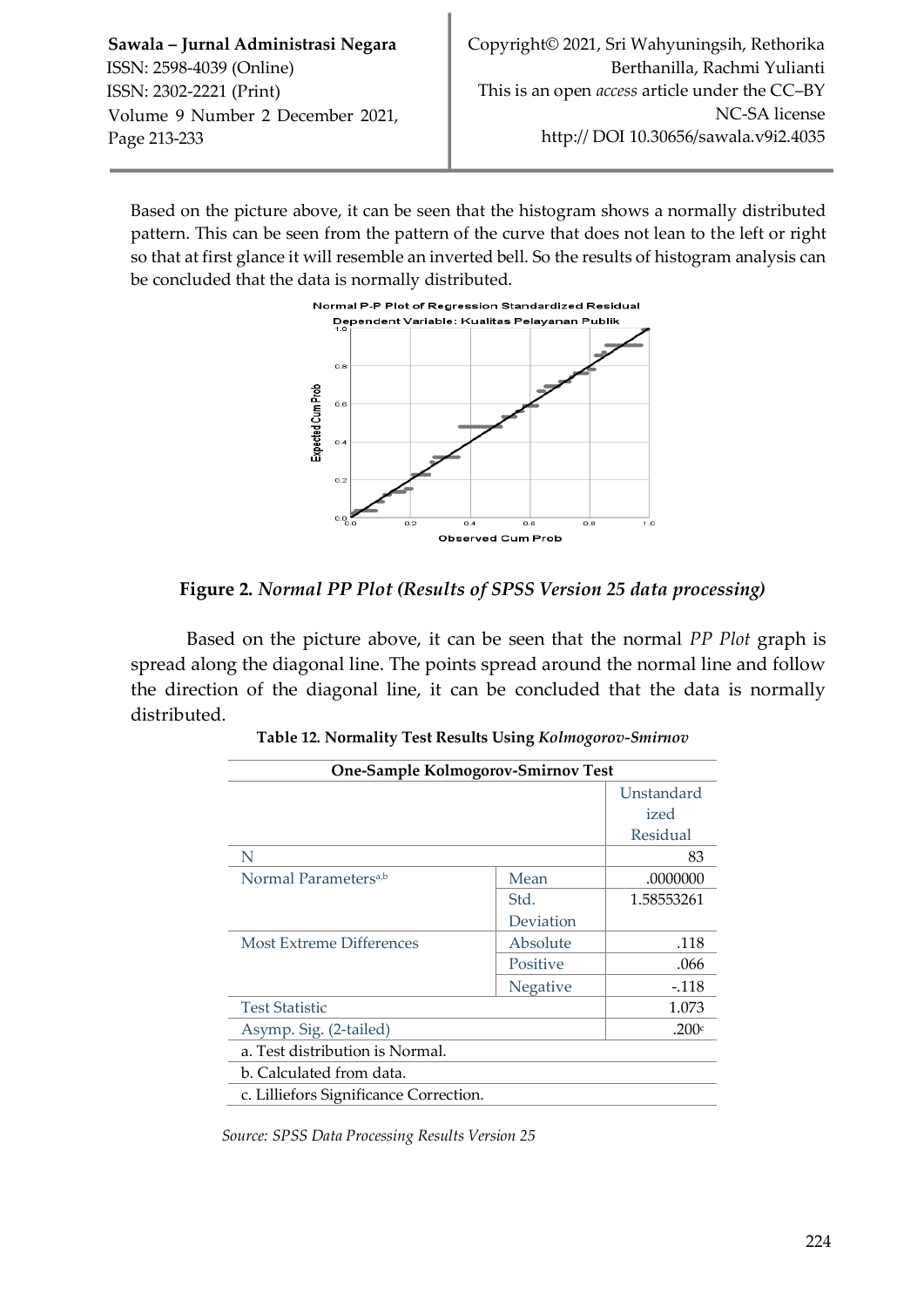Based on the picture above, it can be seen that the histogram shows a normally distributed pattern. This can be seen from the pattern of the curve that does not lean to the left or right so that at first glance it will resemble an inverted bell. So the results of histogram analysis can be concluded that the data is normally distributed.



**Figure 2.** *Normal PP Plot (Results of SPSS Version 25 data processing)*

Based on the picture above, it can be seen that the normal *PP Plot* graph is spread along the diagonal line. The points spread around the normal line and follow the direction of the diagonal line, it can be concluded that the data is normally distributed.

| One-Sample Kolmogorov-Smirnov Test     |           |            |
|----------------------------------------|-----------|------------|
|                                        |           | Unstandard |
|                                        |           | ized       |
|                                        |           | Residual   |
| N                                      |           | 83         |
| Normal Parameters <sup>a,b</sup>       | Mean      | .0000000   |
|                                        | Std.      | 1.58553261 |
|                                        | Deviation |            |
| Most Extreme Differences               | Absolute  | .118       |
|                                        | Positive  | .066       |
|                                        | Negative  | $-.118$    |
| <b>Test Statistic</b>                  |           | 1.073      |
| Asymp. Sig. (2-tailed)                 |           | .200 $c$   |
| a. Test distribution is Normal.        |           |            |
| b. Calculated from data.               |           |            |
| c. Lilliefors Significance Correction. |           |            |

**Table 12. Normality Test Results Using** *Kolmogorov-Smirnov*

*Source: SPSS Data Processing Results Version 25*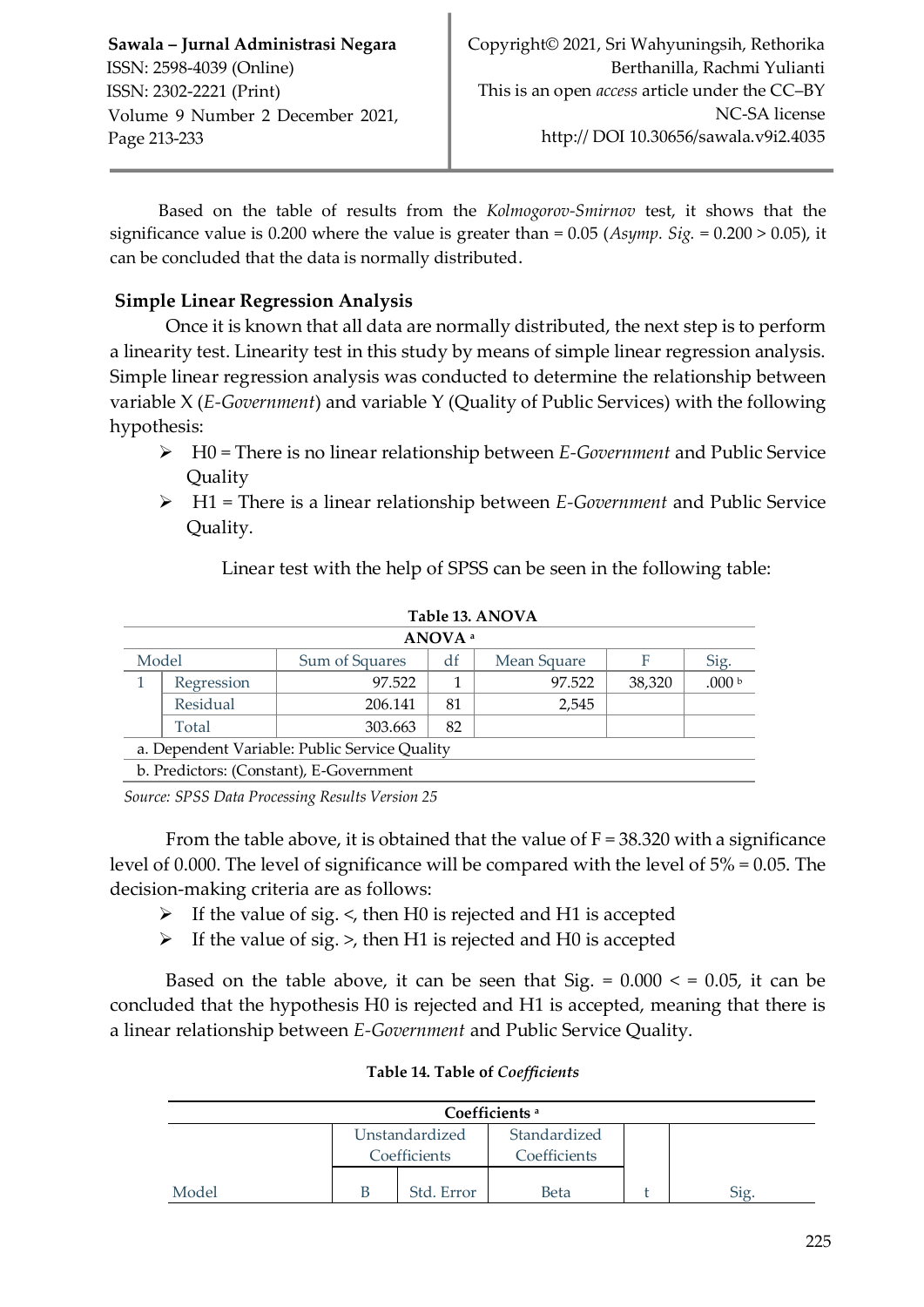Based on the table of results from the *Kolmogorov-Smirnov* test, it shows that the significance value is 0.200 where the value is greater than = 0.05 (*Asymp. Sig.* = 0.200 > 0.05), it can be concluded that the data is normally distributed.

# **Simple Linear Regression Analysis**

Once it is known that all data are normally distributed, the next step is to perform a linearity test. Linearity test in this study by means of simple linear regression analysis. Simple linear regression analysis was conducted to determine the relationship between variable X (*E-Government*) and variable Y (Quality of Public Services) with the following hypothesis:

- H0 = There is no linear relationship between *E-Government* and Public Service Quality
- H1 = There is a linear relationship between *E-Government* and Public Service Quality.

Linear test with the help of SPSS can be seen in the following table:

|                                                      | Tavie 19. AINU VA  |                                         |    |        |        |                   |  |  |  |
|------------------------------------------------------|--------------------|-----------------------------------------|----|--------|--------|-------------------|--|--|--|
|                                                      | ANOVA <sup>a</sup> |                                         |    |        |        |                   |  |  |  |
| Model<br>Sum of Squares<br>Mean Square<br>df<br>Sig. |                    |                                         |    |        |        |                   |  |  |  |
|                                                      | Regression         | 97.522                                  |    | 97.522 | 38.320 | .000 <sub>b</sub> |  |  |  |
| Residual                                             |                    | 206.141                                 | 81 | 2,545  |        |                   |  |  |  |
| 82<br>303.663<br>Total                               |                    |                                         |    |        |        |                   |  |  |  |
| a. Dependent Variable: Public Service Quality        |                    |                                         |    |        |        |                   |  |  |  |
|                                                      |                    | b. Predictors: (Constant), E-Government |    |        |        |                   |  |  |  |

#### **Table 13. ANOVA**

 *Source: SPSS Data Processing Results Version 25*

From the table above, it is obtained that the value of  $F = 38.320$  with a significance level of 0.000. The level of significance will be compared with the level of 5% = 0.05. The decision-making criteria are as follows:

- $\triangleright$  If the value of sig.  $\lt$ , then H0 is rejected and H1 is accepted
- $\triangleright$  If the value of sig. >, then H1 is rejected and H0 is accepted

Based on the table above, it can be seen that Sig.  $= 0.000 \le 0.05$ , it can be concluded that the hypothesis H0 is rejected and H1 is accepted, meaning that there is a linear relationship between *E-Government* and Public Service Quality.

| Coefficients <sup>a</sup> |  |                                |                              |  |  |  |
|---------------------------|--|--------------------------------|------------------------------|--|--|--|
|                           |  | Unstandardized<br>Coefficients | Standardized<br>Coefficients |  |  |  |
| Model                     |  | Std. Error                     | Beta                         |  |  |  |

## **Table 14. Table of** *Coefficients*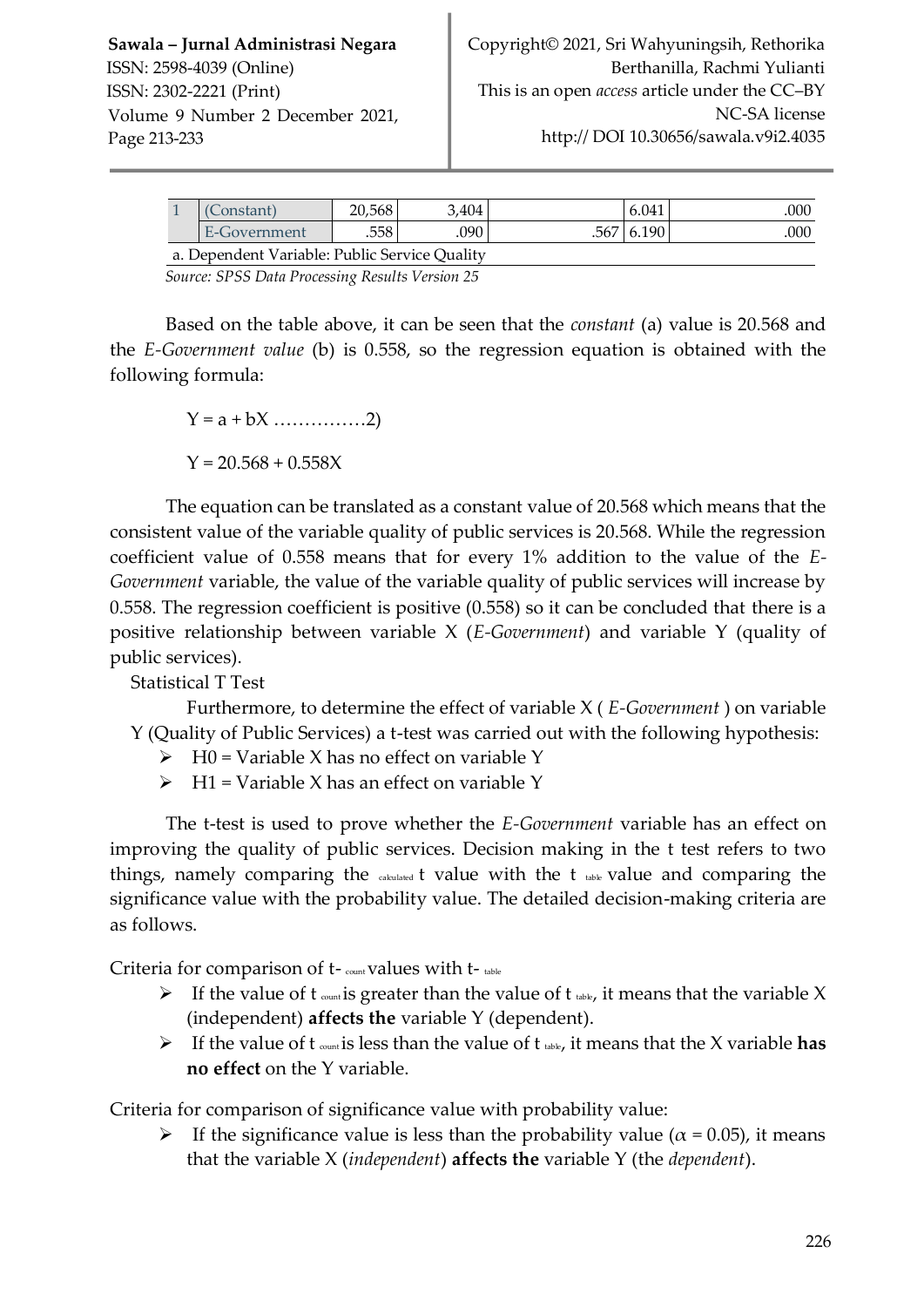|                                               | Constant)    | 20.568 | 3.404 |  | 6.041        | 000 |
|-----------------------------------------------|--------------|--------|-------|--|--------------|-----|
|                                               | E-Government | .558   | .090- |  | .567   6.190 | 000 |
| a. Dependent Variable: Public Service Quality |              |        |       |  |              |     |

*Source: SPSS Data Processing Results Version 25*

Based on the table above, it can be seen that the *constant* (a) value is 20.568 and the *E-Government value* (b) is 0.558, so the regression equation is obtained with the following formula:

Y = a + bX ……………2)

 $Y = 20.568 + 0.558X$ 

The equation can be translated as a constant value of 20.568 which means that the consistent value of the variable quality of public services is 20.568. While the regression coefficient value of 0.558 means that for every 1% addition to the value of the *E-Government* variable, the value of the variable quality of public services will increase by 0.558. The regression coefficient is positive (0.558) so it can be concluded that there is a positive relationship between variable X (*E-Government*) and variable Y (quality of public services).

Statistical T Test

Furthermore, to determine the effect of variable X ( *E-Government* ) on variable Y (Quality of Public Services) a t-test was carried out with the following hypothesis:

- $\triangleright$  H0 = Variable X has no effect on variable Y
- $\triangleright$  H1 = Variable X has an effect on variable Y

The t-test is used to prove whether the *E-Government* variable has an effect on improving the quality of public services. Decision making in the t test refers to two things, namely comparing the  $_{\text{calculated}}$  t value with the t  $_{\text{table}}$  value and comparing the significance value with the probability value. The detailed decision-making criteria are as follows.

Criteria for comparison of t- count values with t- table

- If the value of t  $_{count}$  is greater than the value of t  $_{table}$ , it means that the variable X (independent) **affects the** variable Y (dependent).
- $\triangleright$  If the value of t  $_{count}$  is less than the value of t  $_{table}$ , it means that the X variable has **no effect** on the Y variable.

Criteria for comparison of significance value with probability value:

If the significance value is less than the probability value ( $\alpha$  = 0.05), it means that the variable X (*independent*) **affects the** variable Y (the *dependent*).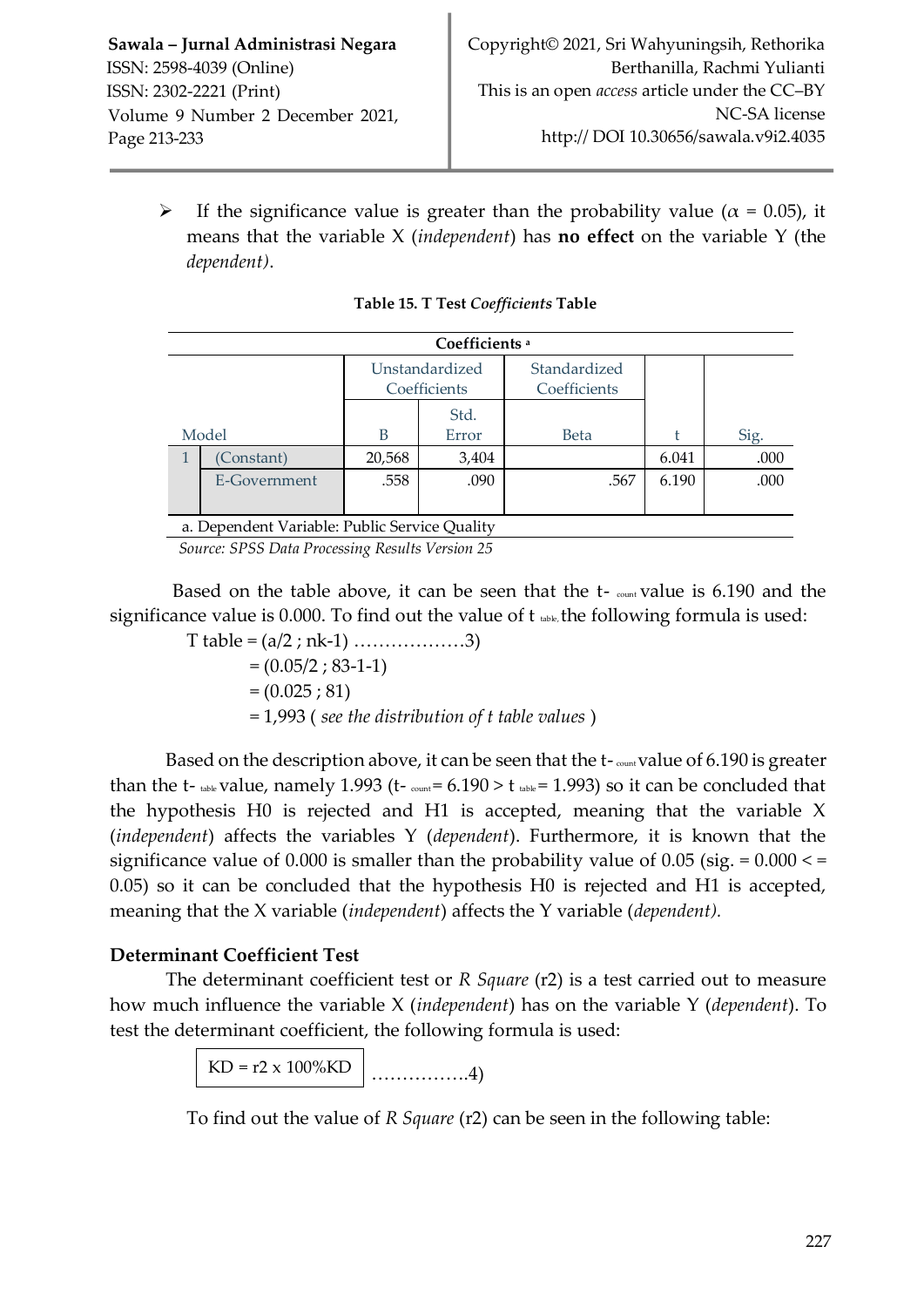Frequence value is greater than the probability value ( $\alpha = 0.05$ ), it means that the variable X (*independent*) has **no effect** on the variable Y (the *dependent)*.

| Coefficients <sup>a</sup> |                                               |                |       |              |       |      |  |
|---------------------------|-----------------------------------------------|----------------|-------|--------------|-------|------|--|
|                           |                                               | Unstandardized |       | Standardized |       |      |  |
|                           |                                               | Coefficients   |       | Coefficients |       |      |  |
|                           |                                               |                | Std.  |              |       |      |  |
| Model                     |                                               | B              | Error | <b>Beta</b>  |       | Sig. |  |
|                           | Constant)                                     | 20,568         | 3,404 |              | 6.041 | .000 |  |
|                           | E-Government                                  | .558           | .090  | .567         | 6.190 | .000 |  |
|                           |                                               |                |       |              |       |      |  |
|                           | a. Dependent Variable: Public Service Quality |                |       |              |       |      |  |

*Source: SPSS Data Processing Results Version 25*

Based on the table above, it can be seen that the  $t$ -  $_{\text{count}}$  value is 6.190 and the significance value is 0.000. To find out the value of  $t_{\text{table}}$ , the following formula is used:

T table = (a/2 ; nk-1) ………………3)

 $=(0.05/2; 83-1-1)$  $=(0.025; 81)$ = 1,993 ( *see the distribution of t table values* )

Based on the description above, it can be seen that the  $t$ -  $_{\text{count}}$  value of 6.190 is greater than the t- table value, namely 1.993 (t- $_{\text{count}}$  = 6.190 > t table = 1.993) so it can be concluded that the hypothesis H0 is rejected and H1 is accepted, meaning that the variable X (*independent*) affects the variables Y (*dependent*). Furthermore, it is known that the significance value of  $0.000$  is smaller than the probability value of  $0.05$  (sig. =  $0.000 \le$  = 0.05) so it can be concluded that the hypothesis H0 is rejected and H1 is accepted, meaning that the X variable (*independent*) affects the Y variable (*dependent).* 

## **Determinant Coefficient Test**

The determinant coefficient test or *R Square* (r2) is a test carried out to measure how much influence the variable X (*independent*) has on the variable Y (*dependent*). To test the determinant coefficient, the following formula is used:

> …………….4)  $KD = r2 \times 100\%KD$

To find out the value of *R Square* (r2) can be seen in the following table: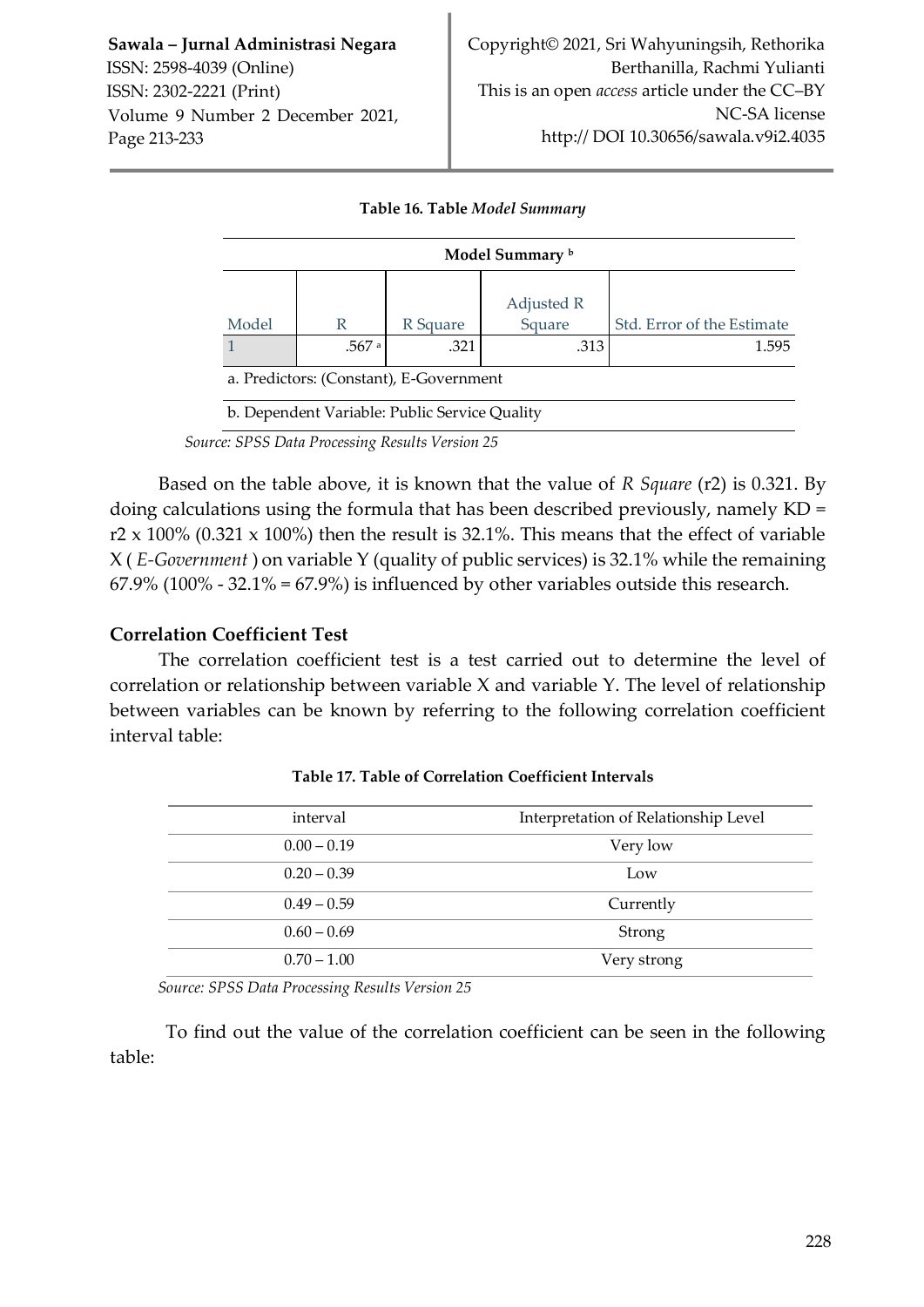| Model Summary b                         |                                               |          |                      |                            |  |  |  |
|-----------------------------------------|-----------------------------------------------|----------|----------------------|----------------------------|--|--|--|
| Model                                   | R                                             | R Square | Adjusted R<br>Square | Std. Error of the Estimate |  |  |  |
|                                         | .567 a                                        | .321     | .313                 | 1.595                      |  |  |  |
| a. Predictors: (Constant), E-Government |                                               |          |                      |                            |  |  |  |
|                                         | b. Dependent Variable: Public Service Quality |          |                      |                            |  |  |  |

#### **Table 16. Table** *Model Summary*

*Source: SPSS Data Processing Results Version 25*

Based on the table above, it is known that the value of *R Square* (r2) is 0.321. By doing calculations using the formula that has been described previously, namely KD = r2 x 100% (0.321 x 100%) then the result is 32.1%. This means that the effect of variable X ( *E-Government* ) on variable Y (quality of public services) is 32.1% while the remaining  $67.9\%$  (100% - 32.1% =  $67.9\%$ ) is influenced by other variables outside this research.

## **Correlation Coefficient Test**

The correlation coefficient test is a test carried out to determine the level of correlation or relationship between variable X and variable Y. The level of relationship between variables can be known by referring to the following correlation coefficient interval table:

| interval      | Interpretation of Relationship Level |
|---------------|--------------------------------------|
| $0.00 - 0.19$ | Very low                             |
| $0.20 - 0.39$ | Low                                  |
| $0.49 - 0.59$ | Currently                            |
| $0.60 - 0.69$ | Strong                               |
| $0.70 - 1.00$ | Very strong                          |

**Table 17. Table of Correlation Coefficient Intervals**

*Source: SPSS Data Processing Results Version 25*

To find out the value of the correlation coefficient can be seen in the following table: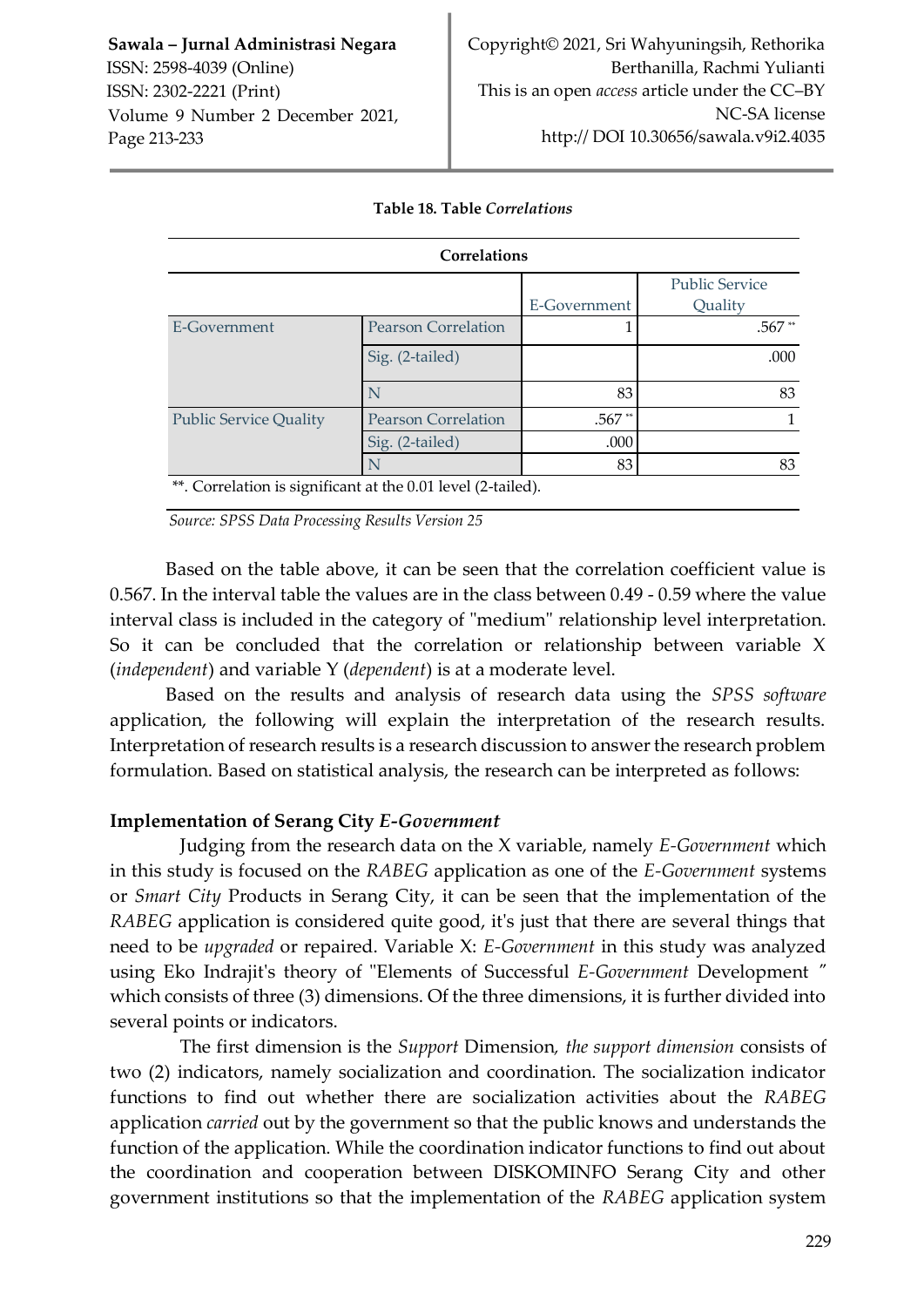|                                                              | Correlations               |              |                       |
|--------------------------------------------------------------|----------------------------|--------------|-----------------------|
|                                                              |                            |              | <b>Public Service</b> |
|                                                              |                            | E-Government | Quality               |
| E-Government                                                 | <b>Pearson Correlation</b> |              | $.567**$              |
|                                                              | Sig. (2-tailed)            |              | .000                  |
|                                                              | N                          | 83           | 83                    |
| <b>Public Service Quality</b>                                | <b>Pearson Correlation</b> | $.567**$     |                       |
|                                                              | Sig. (2-tailed)            | .000         |                       |
|                                                              |                            | 83           | 83                    |
| **. Correlation is significant at the 0.01 level (2-tailed). |                            |              |                       |

#### **Table 18. Table** *Correlations*

*Source: SPSS Data Processing Results Version 25*

Based on the table above, it can be seen that the correlation coefficient value is 0.567. In the interval table the values are in the class between 0.49 - 0.59 where the value interval class is included in the category of "medium" relationship level interpretation. So it can be concluded that the correlation or relationship between variable X (*independent*) and variable Y (*dependent*) is at a moderate level.

Based on the results and analysis of research data using the *SPSS software*  application, the following will explain the interpretation of the research results. Interpretation of research results is a research discussion to answer the research problem formulation. Based on statistical analysis, the research can be interpreted as follows:

#### **Implementation of Serang City** *E-Government*

Judging from the research data on the X variable, namely *E-Government* which in this study is focused on the *RABEG* application as one of the *E-Government* systems or *Smart City* Products in Serang City, it can be seen that the implementation of the *RABEG* application is considered quite good, it's just that there are several things that need to be *upgraded* or repaired. Variable X: *E-Government* in this study was analyzed using Eko Indrajit's theory of "Elements of Successful *E-Government* Development *"*  which consists of three (3) dimensions. Of the three dimensions, it is further divided into several points or indicators.

The first dimension is the *Support* Dimension*, the support dimension* consists of two (2) indicators, namely socialization and coordination. The socialization indicator functions to find out whether there are socialization activities about the *RABEG*  application *carried* out by the government so that the public knows and understands the function of the application. While the coordination indicator functions to find out about the coordination and cooperation between DISKOMINFO Serang City and other government institutions so that the implementation of the *RABEG* application system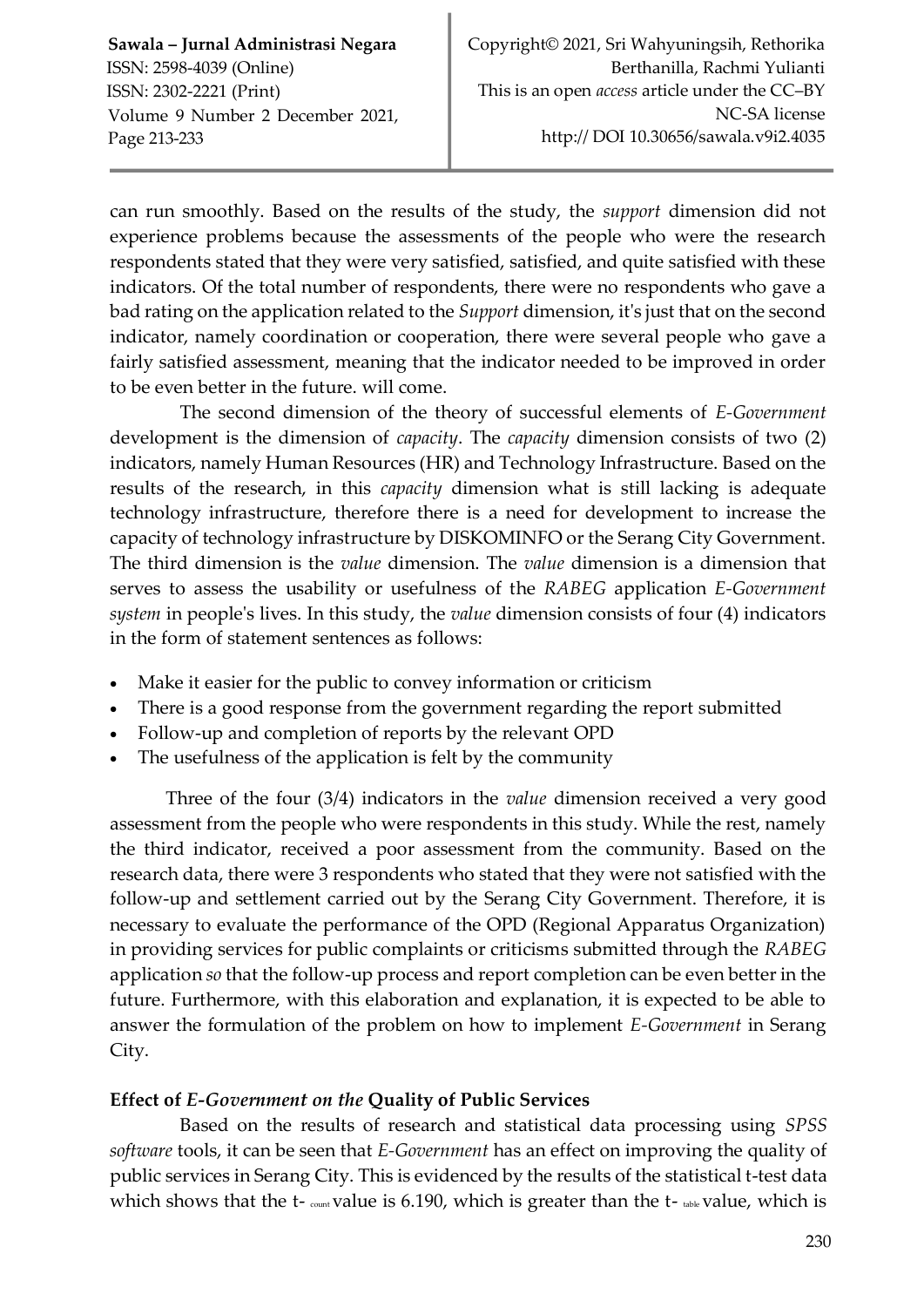can run smoothly. Based on the results of the study, the *support* dimension did not experience problems because the assessments of the people who were the research respondents stated that they were very satisfied, satisfied, and quite satisfied with these indicators. Of the total number of respondents, there were no respondents who gave a bad rating on the application related to the *Support* dimension, it's just that on the second indicator, namely coordination or cooperation, there were several people who gave a fairly satisfied assessment, meaning that the indicator needed to be improved in order to be even better in the future. will come.

The second dimension of the theory of successful elements of *E-Government*  development is the dimension of *capacity*. The *capacity* dimension consists of two (2) indicators, namely Human Resources (HR) and Technology Infrastructure. Based on the results of the research, in this *capacity* dimension what is still lacking is adequate technology infrastructure, therefore there is a need for development to increase the capacity of technology infrastructure by DISKOMINFO or the Serang City Government. The third dimension is the *value* dimension. The *value* dimension is a dimension that serves to assess the usability or usefulness of the *RABEG* application *E-Government system* in people's lives. In this study, the *value* dimension consists of four (4) indicators in the form of statement sentences as follows:

- Make it easier for the public to convey information or criticism
- There is a good response from the government regarding the report submitted
- Follow-up and completion of reports by the relevant OPD
- The usefulness of the application is felt by the community

Three of the four (3/4) indicators in the *value* dimension received a very good assessment from the people who were respondents in this study. While the rest, namely the third indicator, received a poor assessment from the community. Based on the research data, there were 3 respondents who stated that they were not satisfied with the follow-up and settlement carried out by the Serang City Government. Therefore, it is necessary to evaluate the performance of the OPD (Regional Apparatus Organization) in providing services for public complaints or criticisms submitted through the *RABEG*  application *so* that the follow-up process and report completion can be even better in the future. Furthermore, with this elaboration and explanation, it is expected to be able to answer the formulation of the problem on how to implement *E-Government* in Serang City.

## **Effect of** *E-Government on the* **Quality of Public Services**

Based on the results of research and statistical data processing using *SPSS software* tools, it can be seen that *E-Government* has an effect on improving the quality of public services in Serang City. This is evidenced by the results of the statistical t-test data which shows that the  $t$ -  $_{count}$  value is 6.190, which is greater than the  $t$ -  $_{table}$  value, which is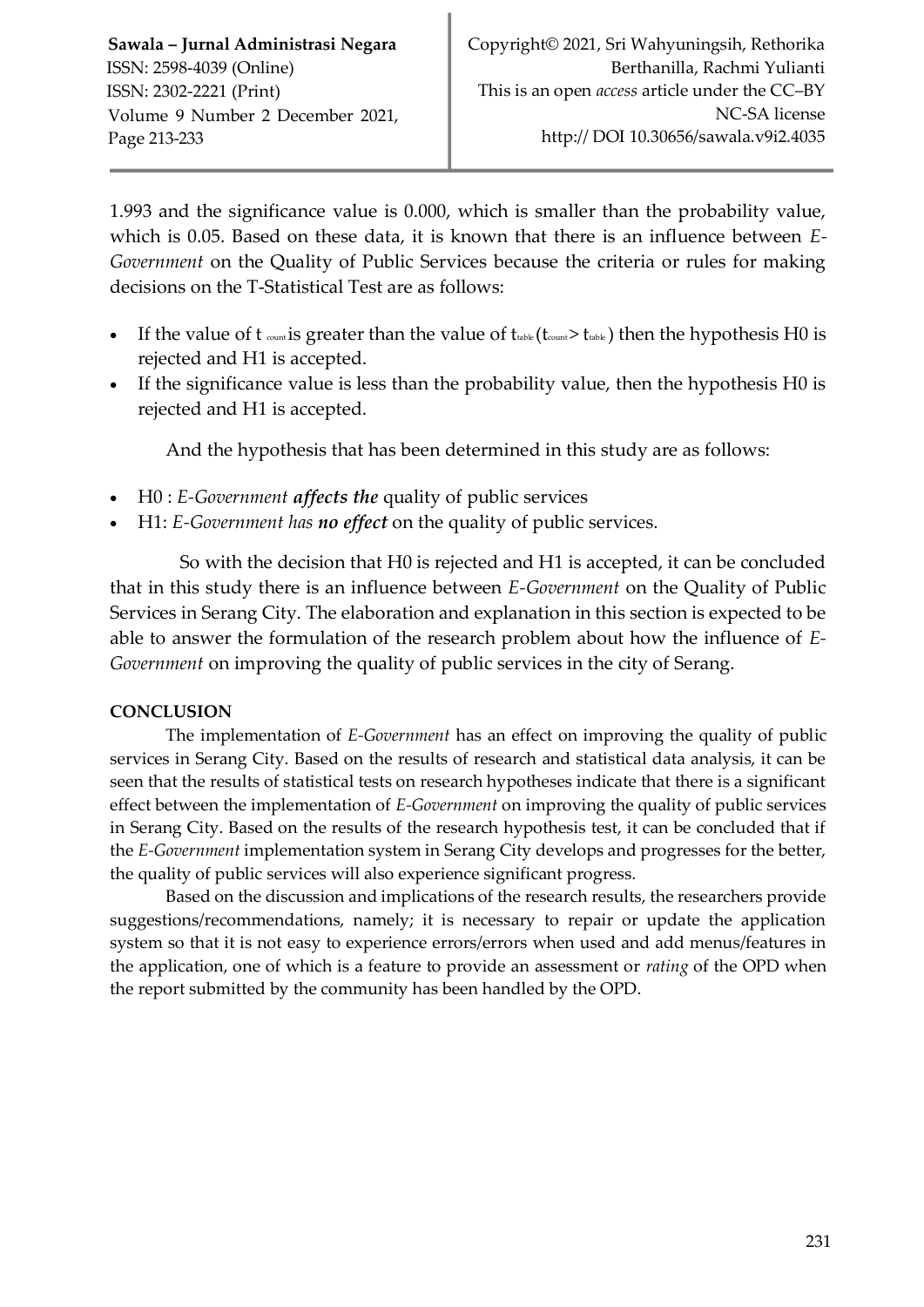1.993 and the significance value is 0.000, which is smaller than the probability value, which is 0.05. Based on these data, it is known that there is an influence between *E-Government* on the Quality of Public Services because the criteria or rules for making decisions on the T-Statistical Test are as follows:

- If the value of t  $_{count}$  is greater than the value of  $t_{table}$  ( $t_{count}$ > $t_{table}$ ) then the hypothesis H0 is rejected and H1 is accepted.
- If the significance value is less than the probability value, then the hypothesis H0 is rejected and H1 is accepted.

And the hypothesis that has been determined in this study are as follows:

- H0 : *E-Government affects the* quality of public services
- H1: *E-Government has no effect* on the quality of public services.

So with the decision that H0 is rejected and H1 is accepted, it can be concluded that in this study there is an influence between *E-Government* on the Quality of Public Services in Serang City. The elaboration and explanation in this section is expected to be able to answer the formulation of the research problem about how the influence of *E-Government* on improving the quality of public services in the city of Serang.

## **CONCLUSION**

The implementation of *E-Government* has an effect on improving the quality of public services in Serang City. Based on the results of research and statistical data analysis, it can be seen that the results of statistical tests on research hypotheses indicate that there is a significant effect between the implementation of *E-Government* on improving the quality of public services in Serang City. Based on the results of the research hypothesis test, it can be concluded that if the *E-Government* implementation system in Serang City develops and progresses for the better, the quality of public services will also experience significant progress.

Based on the discussion and implications of the research results, the researchers provide suggestions/recommendations, namely; it is necessary to repair or update the application system so that it is not easy to experience errors/errors when used and add menus/features in the application, one of which is a feature to provide an assessment or *rating* of the OPD when the report submitted by the community has been handled by the OPD.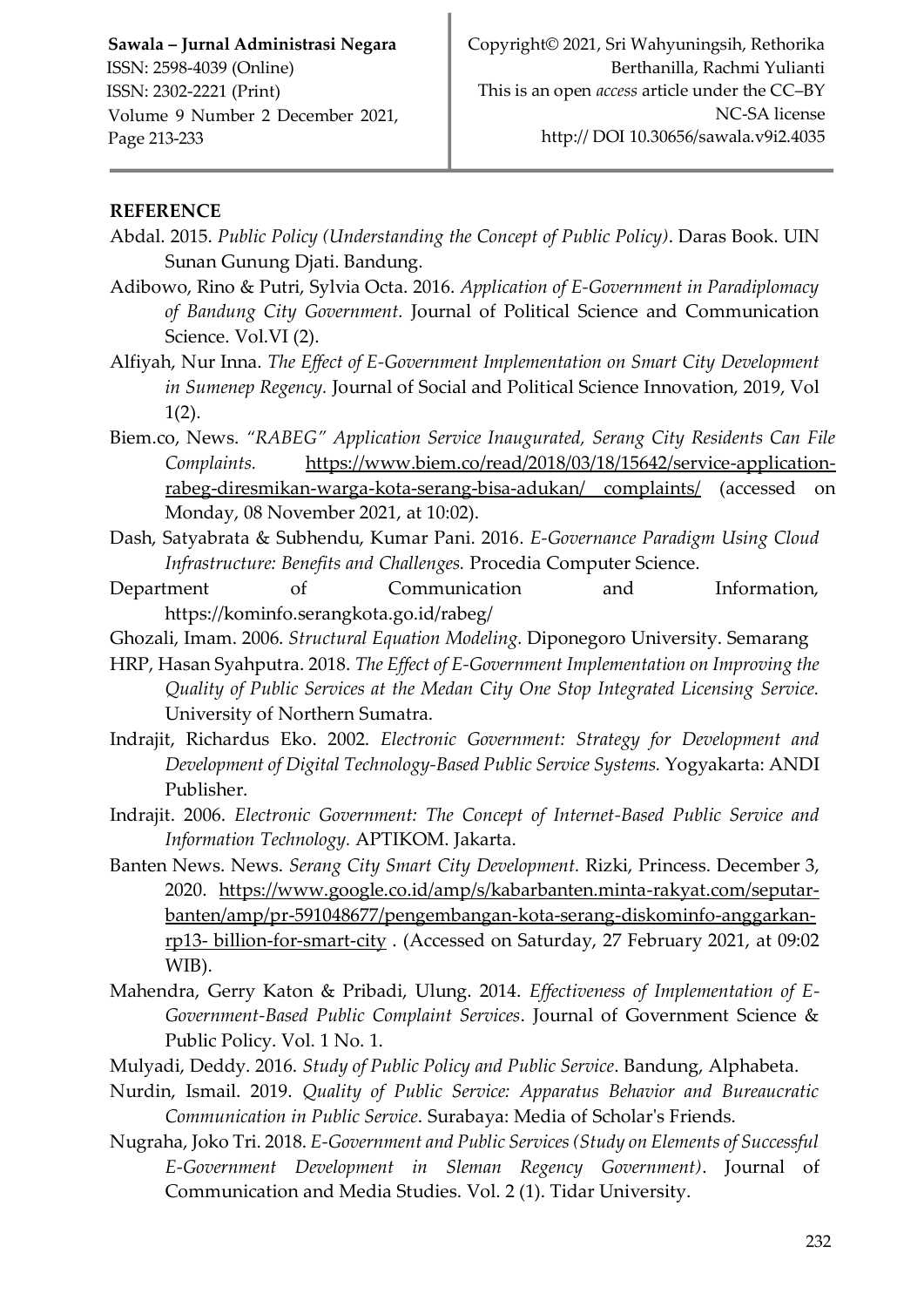### **REFERENCE**

- Abdal. 2015. *Public Policy (Understanding the Concept of Public Policy)*. Daras Book. UIN Sunan Gunung Djati. Bandung.
- Adibowo, Rino & Putri, Sylvia Octa. 2016. *Application of E-Government in Paradiplomacy of Bandung City Government.* Journal of Political Science and Communication Science. Vol.VI (2).

Alfiyah, Nur Inna. *The Effect of E-Government Implementation on Smart City Development in Sumenep Regency.* Journal of Social and Political Science Innovation, 2019, Vol 1(2).

- Biem.co, News. *"RABEG" Application Service Inaugurated, Serang City Residents Can File Complaints.* [https://www.biem.co/read/2018/03/18/15642/service-application](https://translate.google.com/translate?hl=id&prev=_t&sl=id&tl=en&u=https://www.biem.co/read/2018/03/18/15642/%2520layanan-aplikasi-rabeg-diresmikan-warga-kota-serang-bisa-adukan/%2520keluhan/)[rabeg-diresmikan-warga-kota-serang-bisa-adukan/ complaints/](https://translate.google.com/translate?hl=id&prev=_t&sl=id&tl=en&u=https://www.biem.co/read/2018/03/18/15642/%2520layanan-aplikasi-rabeg-diresmikan-warga-kota-serang-bisa-adukan/%2520keluhan/) (accessed on Monday, 08 November 2021, at 10:02).
- Dash, Satyabrata & Subhendu, Kumar Pani. 2016. *E-Governance Paradigm Using Cloud Infrastructure: Benefits and Challenges.* Procedia Computer Science.
- Department of Communication and Information, https://kominfo.serangkota.go.id/rabeg/
- Ghozali, Imam. 2006. *Structural Equation Modeling.* Diponegoro University. Semarang
- HRP, Hasan Syahputra. 2018. *The Effect of E-Government Implementation on Improving the Quality of Public Services at the Medan City One Stop Integrated Licensing Service.* University of Northern Sumatra.
- Indrajit, Richardus Eko. 2002. *Electronic Government: Strategy for Development and Development of Digital Technology-Based Public Service Systems.* Yogyakarta: ANDI Publisher.
- Indrajit. 2006. *Electronic Government: The Concept of Internet-Based Public Service and Information Technology.* APTIKOM. Jakarta.
- Banten News. News. *Serang City Smart City Development.* Rizki, Princess. December 3, 2020. [https://www.google.co.id/amp/s/kabarbanten.minta-rakyat.com/seputar](https://translate.google.com/translate?hl=id&prev=_t&sl=id&tl=en&u=https://www.google.co.id/amp/s/kabarbanten.pikiran-rakyat.com/seputar-banten/amp/pr-591048677/pengembangan-kota-serang-diskominfo-anggarkan-rp13-miliar-untuk-smart-city)[banten/amp/pr-591048677/pengembangan-kota-serang-diskominfo-anggarkan](https://translate.google.com/translate?hl=id&prev=_t&sl=id&tl=en&u=https://www.google.co.id/amp/s/kabarbanten.pikiran-rakyat.com/seputar-banten/amp/pr-591048677/pengembangan-kota-serang-diskominfo-anggarkan-rp13-miliar-untuk-smart-city)rp13- [billion-for-smart-city](https://translate.google.com/translate?hl=id&prev=_t&sl=id&tl=en&u=https://www.google.co.id/amp/s/kabarbanten.pikiran-rakyat.com/seputar-banten/amp/pr-591048677/pengembangan-kota-serang-diskominfo-anggarkan-rp13-miliar-untuk-smart-city) . (Accessed on Saturday, 27 February 2021, at 09:02 WIB).
- Mahendra, Gerry Katon & Pribadi, Ulung. 2014. *Effectiveness of Implementation of E-Government-Based Public Complaint Services*. Journal of Government Science & Public Policy. Vol. 1 No. 1.
- Mulyadi, Deddy. 2016. *Study of Public Policy and Public Service*. Bandung, Alphabeta.
- Nurdin, Ismail. 2019. *Quality of Public Service: Apparatus Behavior and Bureaucratic Communication in Public Service*. Surabaya: Media of Scholar's Friends.
- Nugraha, Joko Tri. 2018. *E-Government and Public Services (Study on Elements of Successful E-Government Development in Sleman Regency Government)*. Journal of Communication and Media Studies. Vol. 2 (1). Tidar University.